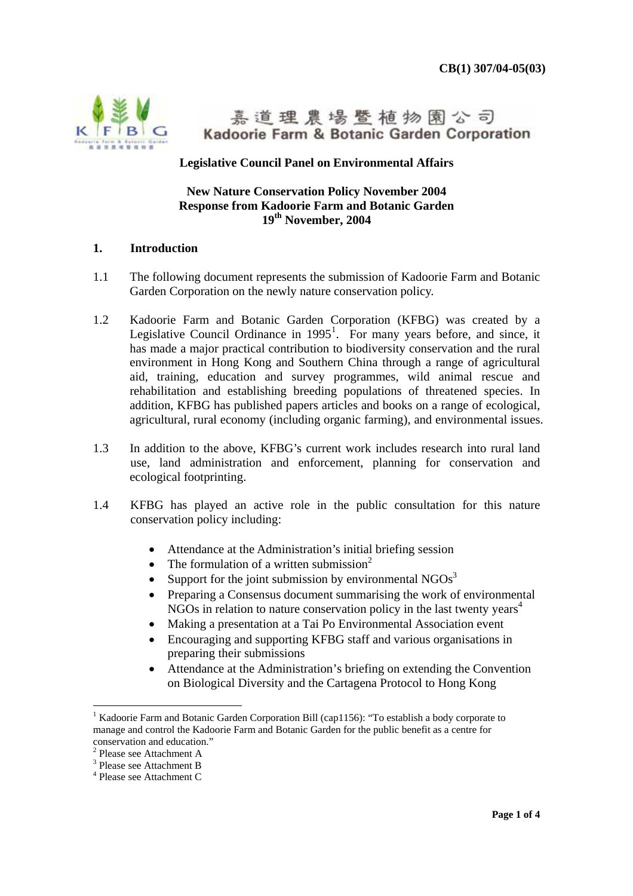

嘉道理農場暨植物園公司 Kadoorie Farm & Botanic Garden Corporation

### **Legislative Council Panel on Environmental Affairs**

#### **New Nature Conservation Policy November 2004 Response from Kadoorie Farm and Botanic Garden 19th November, 2004**

#### **1. Introduction**

- 1.1 The following document represents the submission of Kadoorie Farm and Botanic Garden Corporation on the newly nature conservation policy.
- 1.2 Kadoorie Farm and Botanic Garden Corporation (KFBG) was created by a Legislative Council Ordinance in  $1995<sup>1</sup>$ . For many years before, and since, it has made a major practical contribution to biodiversity conservation and the rural environment in Hong Kong and Southern China through a range of agricultural aid, training, education and survey programmes, wild animal rescue and rehabilitation and establishing breeding populations of threatened species. In addition, KFBG has published papers articles and books on a range of ecological, agricultural, rural economy (including organic farming), and environmental issues.
- 1.3 In addition to the above, KFBG's current work includes research into rural land use, land administration and enforcement, planning for conservation and ecological footprinting.
- 1.4 KFBG has played an active role in the public consultation for this nature conservation policy including:
	- Attendance at the Administration's initial briefing session
	- The formulation of a written submission<sup>2</sup>
	- Support for the joint submission by environmental  $NGOs<sup>3</sup>$
	- Preparing a Consensus document summarising the work of environmental NGOs in relation to nature conservation policy in the last twenty years<sup>4</sup>
	- Making a presentation at a Tai Po Environmental Association event
	- Encouraging and supporting KFBG staff and various organisations in preparing their submissions
	- Attendance at the Administration's briefing on extending the Convention on Biological Diversity and the Cartagena Protocol to Hong Kong

<sup>&</sup>lt;sup>1</sup> Kadoorie Farm and Botanic Garden Corporation Bill (cap1156): "To establish a body corporate to manage and control the Kadoorie Farm and Botanic Garden for the public benefit as a centre for

conservation and education." 2 Please see Attachment A

<sup>3</sup> Please see Attachment B

<sup>4</sup> Please see Attachment C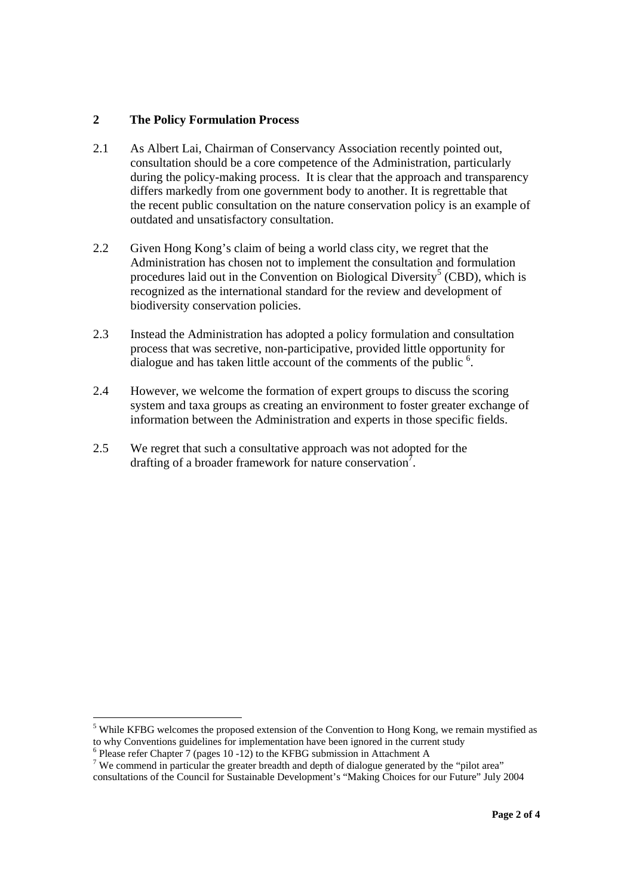#### **2 The Policy Formulation Process**

- 2.1 As Albert Lai, Chairman of Conservancy Association recently pointed out, consultation should be a core competence of the Administration, particularly during the policy-making process. It is clear that the approach and transparency differs markedly from one government body to another. It is regrettable that the recent public consultation on the nature conservation policy is an example of outdated and unsatisfactory consultation.
- 2.2 Given Hong Kong's claim of being a world class city, we regret that the Administration has chosen not to implement the consultation and formulation procedures laid out in the Convention on Biological Diversity<sup>5</sup> (CBD), which is recognized as the international standard for the review and development of biodiversity conservation policies.
- 2.3 Instead the Administration has adopted a policy formulation and consultation process that was secretive, non-participative, provided little opportunity for dialogue and has taken little account of the comments of the public <sup>6</sup>.
- 2.4 However, we welcome the formation of expert groups to discuss the scoring system and taxa groups as creating an environment to foster greater exchange of information between the Administration and experts in those specific fields.
- 2.5 We regret that such a consultative approach was not adopted for the drafting of a broader framework for nature conservation<sup>7</sup>.

 $<sup>5</sup>$  While KFBG welcomes the proposed extension of the Convention to Hong Kong, we remain mystified as</sup> to why Conventions guidelines for implementation have been ignored in the current study

 $6$  Please refer Chapter 7 (pages 10 -12) to the KFBG submission in Attachment A

<sup>&</sup>lt;sup>7</sup> We commend in particular the greater breadth and depth of dialogue generated by the "pilot area" consultations of the Council for Sustainable Development's "Making Choices for our Future" July 2004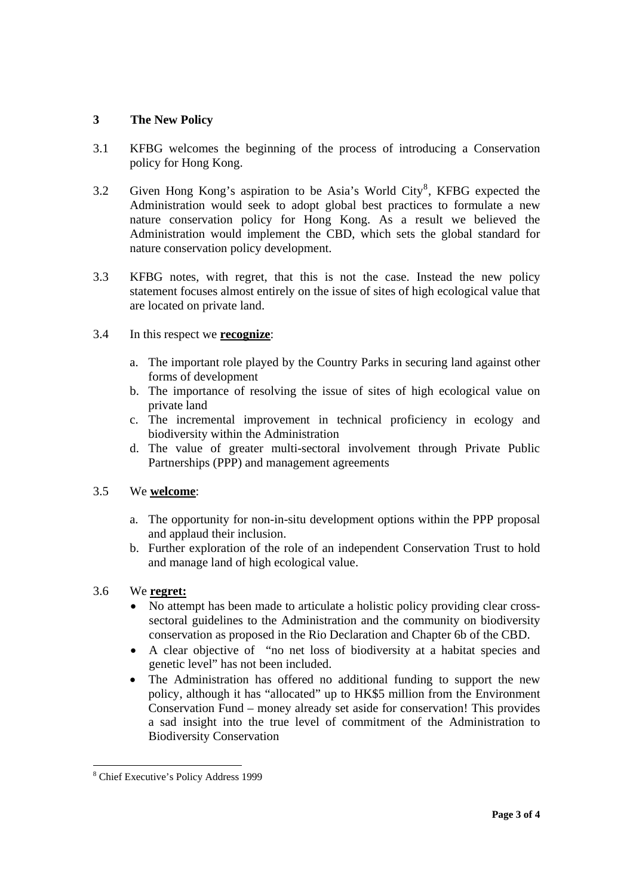### **3 The New Policy**

- 3.1 KFBG welcomes the beginning of the process of introducing a Conservation policy for Hong Kong.
- 3.2 Given Hong Kong's aspiration to be Asia's World City<sup>8</sup>, KFBG expected the Administration would seek to adopt global best practices to formulate a new nature conservation policy for Hong Kong. As a result we believed the Administration would implement the CBD, which sets the global standard for nature conservation policy development.
- 3.3 KFBG notes, with regret, that this is not the case. Instead the new policy statement focuses almost entirely on the issue of sites of high ecological value that are located on private land.

### 3.4 In this respect we **recognize**:

- a. The important role played by the Country Parks in securing land against other forms of development
- b. The importance of resolving the issue of sites of high ecological value on private land
- c. The incremental improvement in technical proficiency in ecology and biodiversity within the Administration
- d. The value of greater multi-sectoral involvement through Private Public Partnerships (PPP) and management agreements

#### 3.5 We **welcome**:

- a. The opportunity for non-in-situ development options within the PPP proposal and applaud their inclusion.
- b. Further exploration of the role of an independent Conservation Trust to hold and manage land of high ecological value.

### 3.6 We **regret:**

 $\overline{a}$ 

- No attempt has been made to articulate a holistic policy providing clear crosssectoral guidelines to the Administration and the community on biodiversity conservation as proposed in the Rio Declaration and Chapter 6b of the CBD.
- A clear objective of "no net loss of biodiversity at a habitat species and genetic level" has not been included.
- The Administration has offered no additional funding to support the new policy, although it has "allocated" up to HK\$5 million from the Environment Conservation Fund – money already set aside for conservation! This provides a sad insight into the true level of commitment of the Administration to Biodiversity Conservation

<sup>8</sup> Chief Executive's Policy Address 1999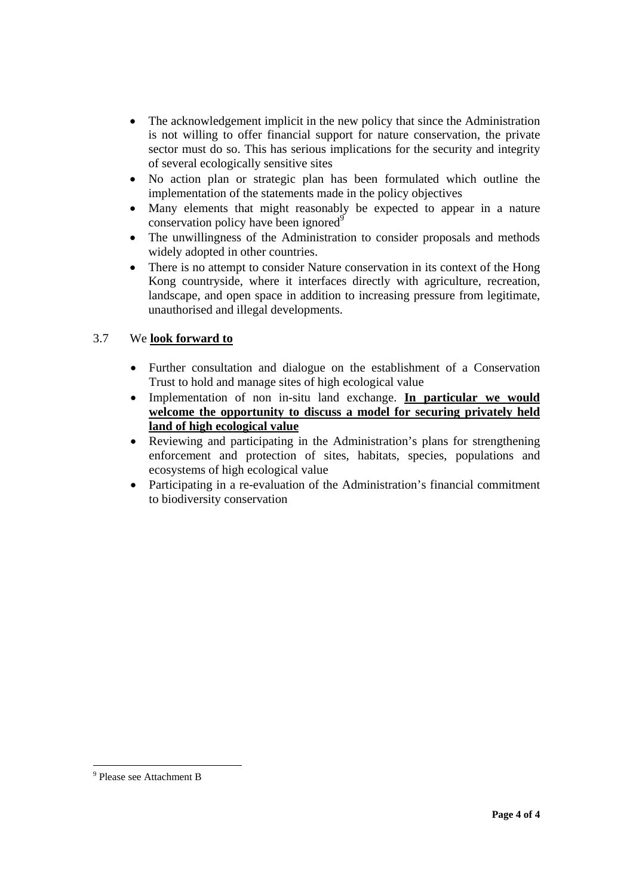- The acknowledgement implicit in the new policy that since the Administration is not willing to offer financial support for nature conservation, the private sector must do so. This has serious implications for the security and integrity of several ecologically sensitive sites
- No action plan or strategic plan has been formulated which outline the implementation of the statements made in the policy objectives
- Many elements that might reasonably be expected to appear in a nature conservation policy have been ignored<sup>9</sup>
- The unwillingness of the Administration to consider proposals and methods widely adopted in other countries.
- There is no attempt to consider Nature conservation in its context of the Hong Kong countryside, where it interfaces directly with agriculture, recreation, landscape, and open space in addition to increasing pressure from legitimate, unauthorised and illegal developments.

### 3.7 We **look forward to**

- Further consultation and dialogue on the establishment of a Conservation Trust to hold and manage sites of high ecological value
- Implementation of non in-situ land exchange. **In particular we would welcome the opportunity to discuss a model for securing privately held land of high ecological value**
- Reviewing and participating in the Administration's plans for strengthening enforcement and protection of sites, habitats, species, populations and ecosystems of high ecological value
- Participating in a re-evaluation of the Administration's financial commitment to biodiversity conservation

 9 Please see Attachment B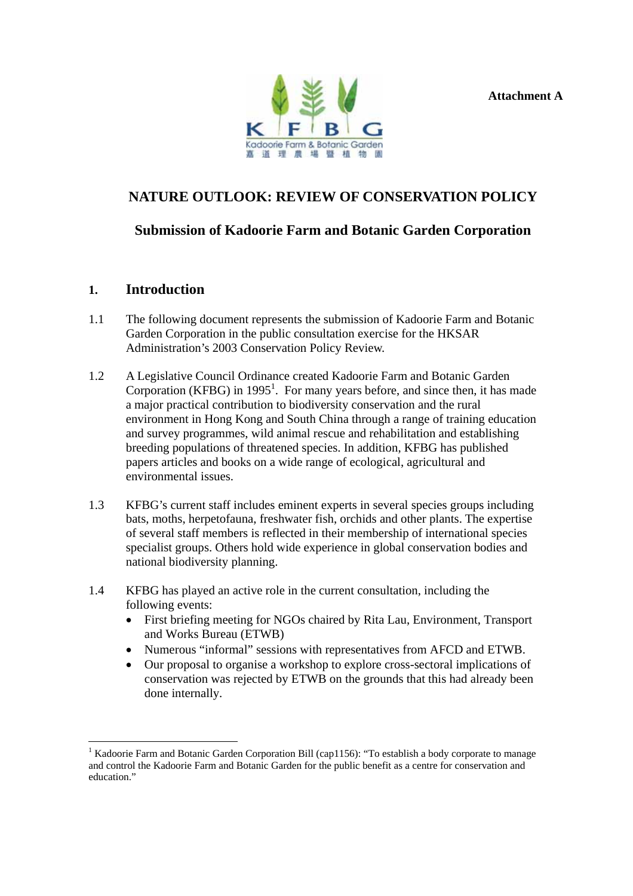**Attachment A** 



# **NATURE OUTLOOK: REVIEW OF CONSERVATION POLICY**

## **Submission of Kadoorie Farm and Botanic Garden Corporation**

### **1. Introduction**

- 1.1 The following document represents the submission of Kadoorie Farm and Botanic Garden Corporation in the public consultation exercise for the HKSAR Administration's 2003 Conservation Policy Review.
- 1.2 A Legislative Council Ordinance created Kadoorie Farm and Botanic Garden Corporation (KFBG) in  $1995<sup>1</sup>$ . For many years before, and since then, it has made a major practical contribution to biodiversity conservation and the rural environment in Hong Kong and South China through a range of training education and survey programmes, wild animal rescue and rehabilitation and establishing breeding populations of threatened species. In addition, KFBG has published papers articles and books on a wide range of ecological, agricultural and environmental issues.
- 1.3 KFBG's current staff includes eminent experts in several species groups including bats, moths, herpetofauna, freshwater fish, orchids and other plants. The expertise of several staff members is reflected in their membership of international species specialist groups. Others hold wide experience in global conservation bodies and national biodiversity planning.
- 1.4 KFBG has played an active role in the current consultation, including the following events:
	- First briefing meeting for NGOs chaired by Rita Lau, Environment, Transport and Works Bureau (ETWB)
	- Numerous "informal" sessions with representatives from AFCD and ETWB.
	- Our proposal to organise a workshop to explore cross-sectoral implications of conservation was rejected by ETWB on the grounds that this had already been done internally.

<sup>&</sup>lt;sup>1</sup> Kadoorie Farm and Botanic Garden Corporation Bill (cap1156): "To establish a body corporate to manage and control the Kadoorie Farm and Botanic Garden for the public benefit as a centre for conservation and education."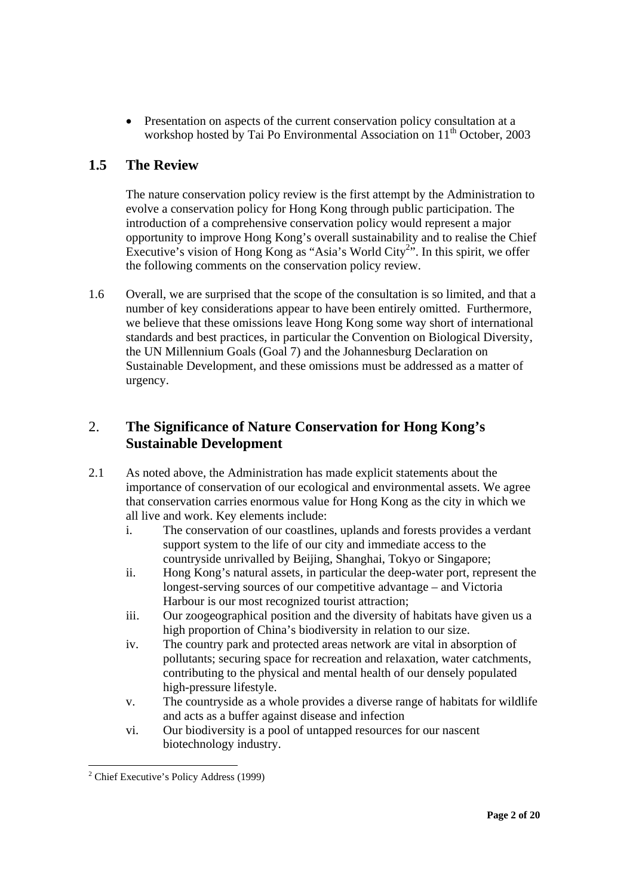• Presentation on aspects of the current conservation policy consultation at a workshop hosted by Tai Po Environmental Association on 11<sup>th</sup> October, 2003

# **1.5 The Review**

The nature conservation policy review is the first attempt by the Administration to evolve a conservation policy for Hong Kong through public participation. The introduction of a comprehensive conservation policy would represent a major opportunity to improve Hong Kong's overall sustainability and to realise the Chief Executive's vision of Hong Kong as "Asia's World City<sup>2</sup>". In this spirit, we offer the following comments on the conservation policy review.

1.6 Overall, we are surprised that the scope of the consultation is so limited, and that a number of key considerations appear to have been entirely omitted. Furthermore, we believe that these omissions leave Hong Kong some way short of international standards and best practices, in particular the Convention on Biological Diversity, the UN Millennium Goals (Goal 7) and the Johannesburg Declaration on Sustainable Development, and these omissions must be addressed as a matter of urgency.

# 2. **The Significance of Nature Conservation for Hong Kong's Sustainable Development**

- 2.1 As noted above, the Administration has made explicit statements about the importance of conservation of our ecological and environmental assets. We agree that conservation carries enormous value for Hong Kong as the city in which we all live and work. Key elements include:
	- i. The conservation of our coastlines, uplands and forests provides a verdant support system to the life of our city and immediate access to the countryside unrivalled by Beijing, Shanghai, Tokyo or Singapore;
	- ii. Hong Kong's natural assets, in particular the deep-water port, represent the longest-serving sources of our competitive advantage – and Victoria Harbour is our most recognized tourist attraction;
	- iii. Our zoogeographical position and the diversity of habitats have given us a high proportion of China's biodiversity in relation to our size.
	- iv. The country park and protected areas network are vital in absorption of pollutants; securing space for recreation and relaxation, water catchments, contributing to the physical and mental health of our densely populated high-pressure lifestyle.
	- v. The countryside as a whole provides a diverse range of habitats for wildlife and acts as a buffer against disease and infection
	- vi. Our biodiversity is a pool of untapped resources for our nascent biotechnology industry.

 $\overline{a}$ <sup>2</sup> Chief Executive's Policy Address (1999)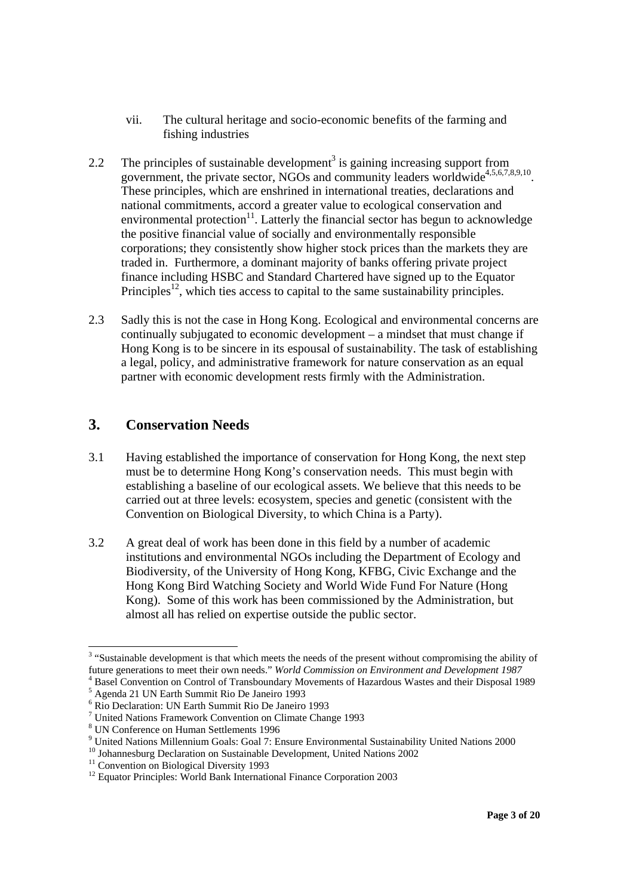- vii. The cultural heritage and socio-economic benefits of the farming and fishing industries
- 2.2 The principles of sustainable development<sup>3</sup> is gaining increasing support from government, the private sector, NGOs and community leaders worldwide<sup>4,5,6,7,8,9,10</sup>. These principles, which are enshrined in international treaties, declarations and national commitments, accord a greater value to ecological conservation and environmental protection $11$ . Latterly the financial sector has begun to acknowledge the positive financial value of socially and environmentally responsible corporations; they consistently show higher stock prices than the markets they are traded in. Furthermore, a dominant majority of banks offering private project finance including HSBC and Standard Chartered have signed up to the Equator Principles<sup>12</sup>, which ties access to capital to the same sustainability principles.
- 2.3 Sadly this is not the case in Hong Kong. Ecological and environmental concerns are continually subjugated to economic development – a mindset that must change if Hong Kong is to be sincere in its espousal of sustainability. The task of establishing a legal, policy, and administrative framework for nature conservation as an equal partner with economic development rests firmly with the Administration.

## **3. Conservation Needs**

- 3.1 Having established the importance of conservation for Hong Kong, the next step must be to determine Hong Kong's conservation needs. This must begin with establishing a baseline of our ecological assets. We believe that this needs to be carried out at three levels: ecosystem, species and genetic (consistent with the Convention on Biological Diversity, to which China is a Party).
- 3.2 A great deal of work has been done in this field by a number of academic institutions and environmental NGOs including the Department of Ecology and Biodiversity, of the University of Hong Kong, KFBG, Civic Exchange and the Hong Kong Bird Watching Society and World Wide Fund For Nature (Hong Kong). Some of this work has been commissioned by the Administration, but almost all has relied on expertise outside the public sector.

  $3$  "Sustainable development is that which meets the needs of the present without compromising the ability of future generations to meet their own needs." *World Commission on Environment and Development 1987* <sup>4</sup> <sup>4</sup> Basel Convention on Control of Transboundary Movements of Hazardous Wastes and their Disposal 1989

<sup>5</sup> Agenda 21 UN Earth Summit Rio De Janeiro 1993

<sup>6</sup> Rio Declaration: UN Earth Summit Rio De Janeiro 1993

<sup>&</sup>lt;sup>7</sup> United Nations Framework Convention on Climate Change 1993

<sup>8</sup> UN Conference on Human Settlements 1996

<sup>&</sup>lt;sup>9</sup> United Nations Millennium Goals: Goal 7: Ensure Environmental Sustainability United Nations 2000

 $^{10}$  Johannesburg Declaration on Sustainable Development, United Nations 2002

<sup>&</sup>lt;sup>11</sup> Convention on Biological Diversity 1993

<sup>&</sup>lt;sup>12</sup> Equator Principles: World Bank International Finance Corporation 2003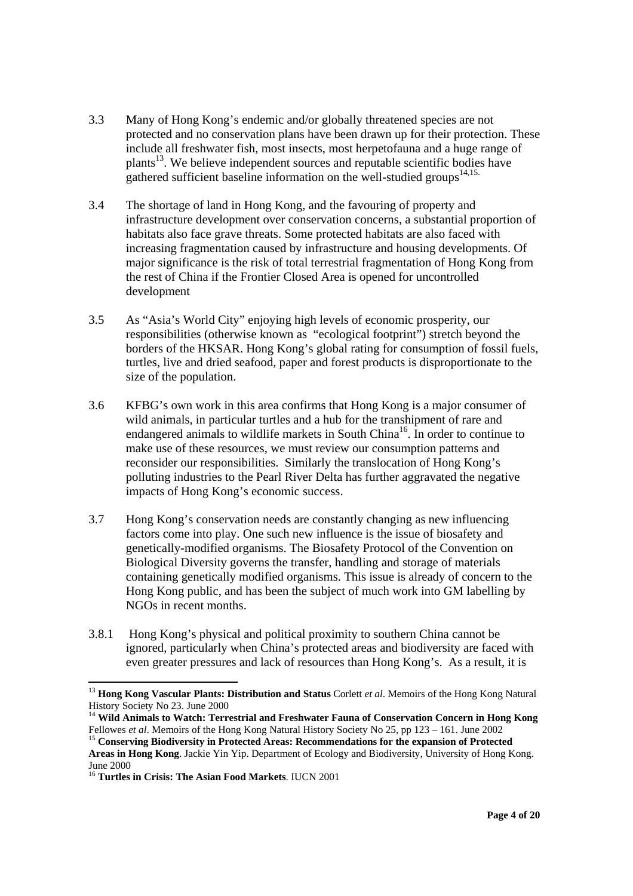- 3.3 Many of Hong Kong's endemic and/or globally threatened species are not protected and no conservation plans have been drawn up for their protection. These include all freshwater fish, most insects, most herpetofauna and a huge range of plants<sup>13</sup>. We believe independent sources and reputable scientific bodies have gathered sufficient baseline information on the well-studied groups $14,15$ .
- 3.4 The shortage of land in Hong Kong, and the favouring of property and infrastructure development over conservation concerns, a substantial proportion of habitats also face grave threats. Some protected habitats are also faced with increasing fragmentation caused by infrastructure and housing developments. Of major significance is the risk of total terrestrial fragmentation of Hong Kong from the rest of China if the Frontier Closed Area is opened for uncontrolled development
- 3.5 As "Asia's World City" enjoying high levels of economic prosperity, our responsibilities (otherwise known as "ecological footprint") stretch beyond the borders of the HKSAR. Hong Kong's global rating for consumption of fossil fuels, turtles, live and dried seafood, paper and forest products is disproportionate to the size of the population.
- 3.6 KFBG's own work in this area confirms that Hong Kong is a major consumer of wild animals, in particular turtles and a hub for the transhipment of rare and endangered animals to wildlife markets in South China<sup>16</sup>. In order to continue to make use of these resources, we must review our consumption patterns and reconsider our responsibilities. Similarly the translocation of Hong Kong's polluting industries to the Pearl River Delta has further aggravated the negative impacts of Hong Kong's economic success.
- 3.7 Hong Kong's conservation needs are constantly changing as new influencing factors come into play. One such new influence is the issue of biosafety and genetically-modified organisms. The Biosafety Protocol of the Convention on Biological Diversity governs the transfer, handling and storage of materials containing genetically modified organisms. This issue is already of concern to the Hong Kong public, and has been the subject of much work into GM labelling by NGOs in recent months.
- 3.8.1 Hong Kong's physical and political proximity to southern China cannot be ignored, particularly when China's protected areas and biodiversity are faced with even greater pressures and lack of resources than Hong Kong's. As a result, it is

<sup>13</sup> **Hong Kong Vascular Plants: Distribution and Status** Corlett *et al*. Memoirs of the Hong Kong Natural History Society No 23. June 2000

<sup>&</sup>lt;sup>14</sup> **Wild Animals to Watch: Terrestrial and Freshwater Fauna of Conservation Concern in Hong Kong Fellowes** *et al.* **Memoirs of the Hong Kong Natural History Society No 25, pp 123 – 161. June 2002** 

<sup>&</sup>lt;sup>15</sup> Conserving Biodiversity in Protected Areas: Recommendations for the expansion of Protected **Areas in Hong Kong**. Jackie Yin Yip. Department of Ecology and Biodiversity, University of Hong Kong. June 2000

<sup>16</sup> **Turtles in Crisis: The Asian Food Markets**. IUCN 2001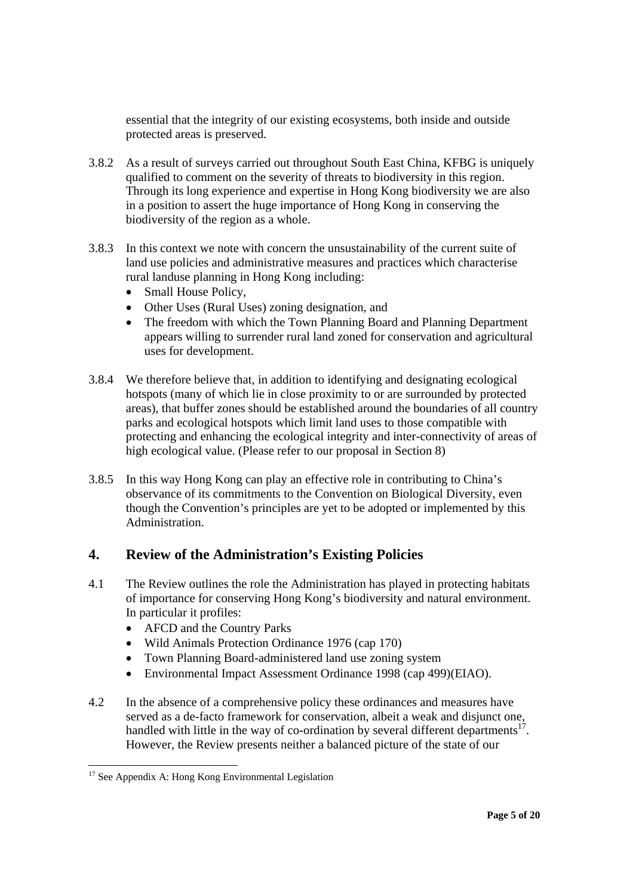essential that the integrity of our existing ecosystems, both inside and outside protected areas is preserved.

- 3.8.2 As a result of surveys carried out throughout South East China, KFBG is uniquely qualified to comment on the severity of threats to biodiversity in this region. Through its long experience and expertise in Hong Kong biodiversity we are also in a position to assert the huge importance of Hong Kong in conserving the biodiversity of the region as a whole.
- 3.8.3 In this context we note with concern the unsustainability of the current suite of land use policies and administrative measures and practices which characterise rural landuse planning in Hong Kong including:
	- Small House Policy.
	- Other Uses (Rural Uses) zoning designation, and
	- The freedom with which the Town Planning Board and Planning Department appears willing to surrender rural land zoned for conservation and agricultural uses for development.
- 3.8.4 We therefore believe that, in addition to identifying and designating ecological hotspots (many of which lie in close proximity to or are surrounded by protected areas), that buffer zones should be established around the boundaries of all country parks and ecological hotspots which limit land uses to those compatible with protecting and enhancing the ecological integrity and inter-connectivity of areas of high ecological value. (Please refer to our proposal in Section 8)
- 3.8.5 In this way Hong Kong can play an effective role in contributing to China's observance of its commitments to the Convention on Biological Diversity, even though the Convention's principles are yet to be adopted or implemented by this Administration.

## **4. Review of the Administration's Existing Policies**

- 4.1 The Review outlines the role the Administration has played in protecting habitats of importance for conserving Hong Kong's biodiversity and natural environment. In particular it profiles:
	- AFCD and the Country Parks
	- Wild Animals Protection Ordinance 1976 (cap 170)
	- Town Planning Board-administered land use zoning system
	- Environmental Impact Assessment Ordinance 1998 (cap 499)(EIAO).
- 4.2 In the absence of a comprehensive policy these ordinances and measures have served as a de-facto framework for conservation, albeit a weak and disjunct one, handled with little in the way of co-ordination by several different departments<sup>17</sup>. However, the Review presents neither a balanced picture of the state of our

 $\overline{a}$  $17$  See Appendix A: Hong Kong Environmental Legislation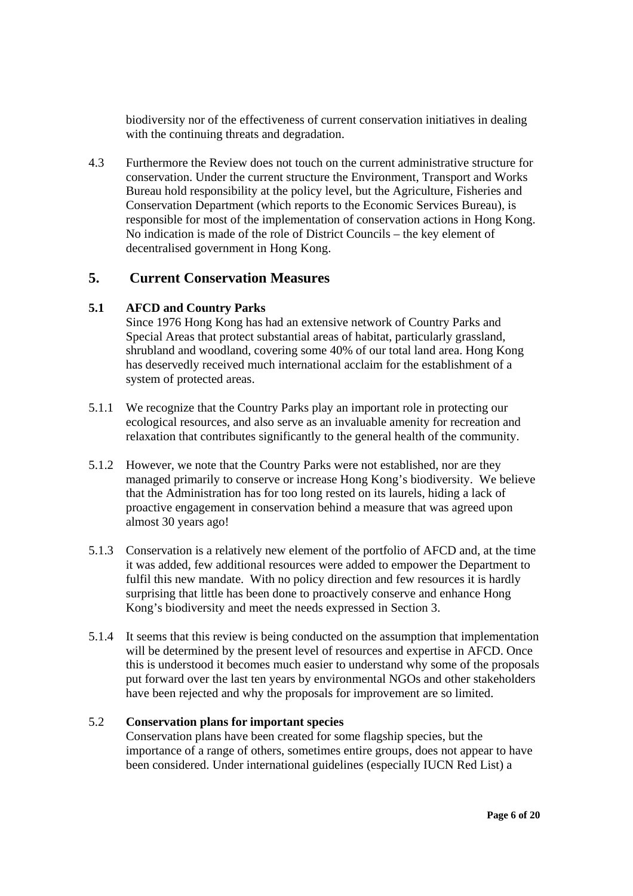biodiversity nor of the effectiveness of current conservation initiatives in dealing with the continuing threats and degradation.

4.3 Furthermore the Review does not touch on the current administrative structure for conservation. Under the current structure the Environment, Transport and Works Bureau hold responsibility at the policy level, but the Agriculture, Fisheries and Conservation Department (which reports to the Economic Services Bureau), is responsible for most of the implementation of conservation actions in Hong Kong. No indication is made of the role of District Councils – the key element of decentralised government in Hong Kong.

### **5. Current Conservation Measures**

### **5.1 AFCD and Country Parks**

Since 1976 Hong Kong has had an extensive network of Country Parks and Special Areas that protect substantial areas of habitat, particularly grassland, shrubland and woodland, covering some 40% of our total land area. Hong Kong has deservedly received much international acclaim for the establishment of a system of protected areas.

- 5.1.1 We recognize that the Country Parks play an important role in protecting our ecological resources, and also serve as an invaluable amenity for recreation and relaxation that contributes significantly to the general health of the community.
- 5.1.2 However, we note that the Country Parks were not established, nor are they managed primarily to conserve or increase Hong Kong's biodiversity. We believe that the Administration has for too long rested on its laurels, hiding a lack of proactive engagement in conservation behind a measure that was agreed upon almost 30 years ago!
- 5.1.3 Conservation is a relatively new element of the portfolio of AFCD and, at the time it was added, few additional resources were added to empower the Department to fulfil this new mandate. With no policy direction and few resources it is hardly surprising that little has been done to proactively conserve and enhance Hong Kong's biodiversity and meet the needs expressed in Section 3.
- 5.1.4 It seems that this review is being conducted on the assumption that implementation will be determined by the present level of resources and expertise in AFCD. Once this is understood it becomes much easier to understand why some of the proposals put forward over the last ten years by environmental NGOs and other stakeholders have been rejected and why the proposals for improvement are so limited.

### 5.2 **Conservation plans for important species**

Conservation plans have been created for some flagship species, but the importance of a range of others, sometimes entire groups, does not appear to have been considered. Under international guidelines (especially IUCN Red List) a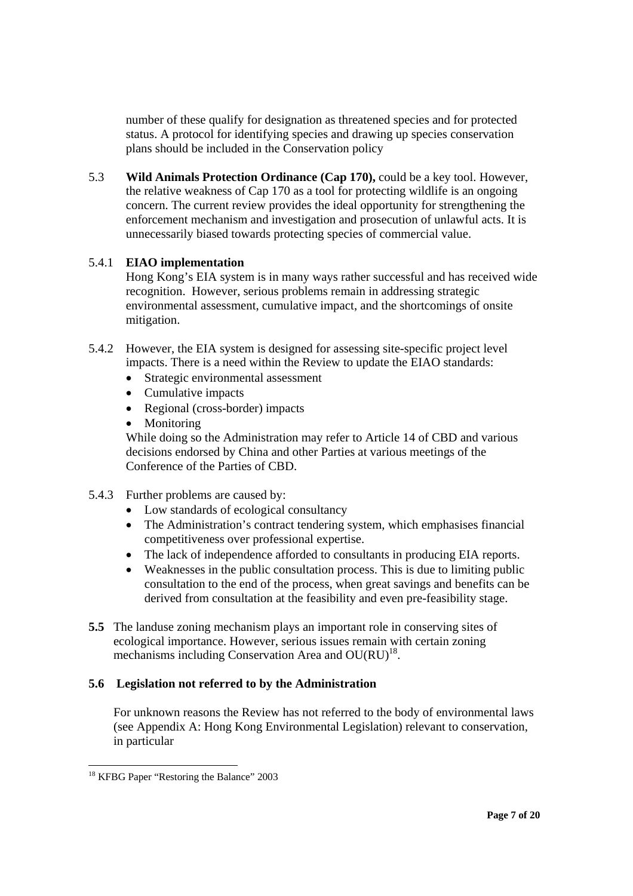number of these qualify for designation as threatened species and for protected status. A protocol for identifying species and drawing up species conservation plans should be included in the Conservation policy

5.3 **Wild Animals Protection Ordinance (Cap 170),** could be a key tool. However, the relative weakness of Cap 170 as a tool for protecting wildlife is an ongoing concern. The current review provides the ideal opportunity for strengthening the enforcement mechanism and investigation and prosecution of unlawful acts. It is unnecessarily biased towards protecting species of commercial value.

### 5.4.1 **EIAO implementation**

Hong Kong's EIA system is in many ways rather successful and has received wide recognition. However, serious problems remain in addressing strategic environmental assessment, cumulative impact, and the shortcomings of onsite mitigation.

- 5.4.2 However, the EIA system is designed for assessing site-specific project level impacts. There is a need within the Review to update the EIAO standards:
	- Strategic environmental assessment
	- Cumulative impacts
	- Regional (cross-border) impacts
	- **Monitoring**

While doing so the Administration may refer to Article 14 of CBD and various decisions endorsed by China and other Parties at various meetings of the Conference of the Parties of CBD.

- 5.4.3 Further problems are caused by:
	- Low standards of ecological consultancy
	- The Administration's contract tendering system, which emphasises financial competitiveness over professional expertise.
	- The lack of independence afforded to consultants in producing EIA reports.
	- Weaknesses in the public consultation process. This is due to limiting public consultation to the end of the process, when great savings and benefits can be derived from consultation at the feasibility and even pre-feasibility stage.
- **5.5** The landuse zoning mechanism plays an important role in conserving sites of ecological importance. However, serious issues remain with certain zoning mechanisms including Conservation Area and  $OU(RU)^{18}$ .

#### **5.6 Legislation not referred to by the Administration**

For unknown reasons the Review has not referred to the body of environmental laws (see Appendix A: Hong Kong Environmental Legislation) relevant to conservation, in particular

 $\overline{a}$ 

<sup>&</sup>lt;sup>18</sup> KFBG Paper "Restoring the Balance" 2003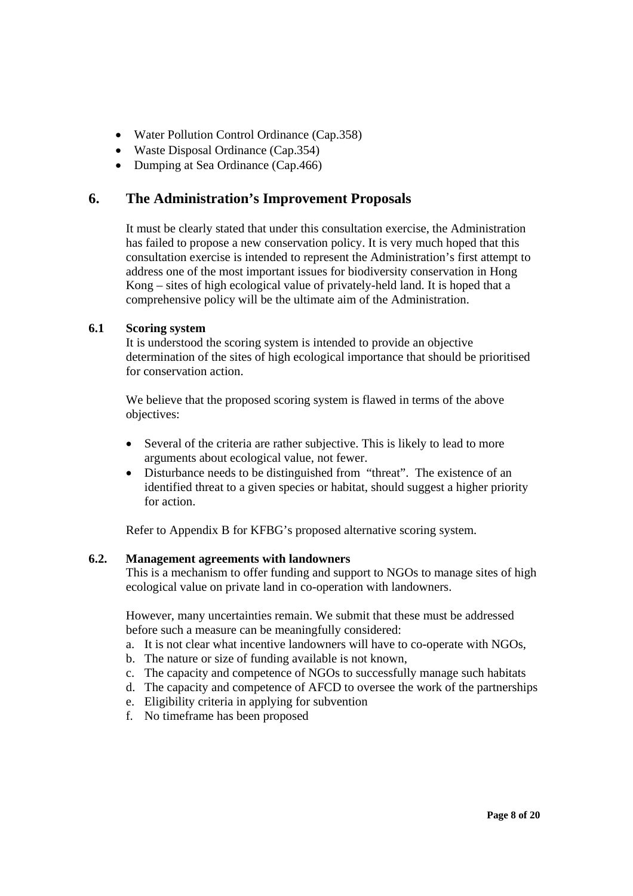- Water Pollution Control Ordinance (Cap. 358)
- Waste Disposal Ordinance (Cap. 354)
- Dumping at Sea Ordinance (Cap. 466)

## **6. The Administration's Improvement Proposals**

It must be clearly stated that under this consultation exercise, the Administration has failed to propose a new conservation policy. It is very much hoped that this consultation exercise is intended to represent the Administration's first attempt to address one of the most important issues for biodiversity conservation in Hong Kong – sites of high ecological value of privately-held land. It is hoped that a comprehensive policy will be the ultimate aim of the Administration.

### **6.1 Scoring system**

It is understood the scoring system is intended to provide an objective determination of the sites of high ecological importance that should be prioritised for conservation action.

 We believe that the proposed scoring system is flawed in terms of the above objectives:

- Several of the criteria are rather subjective. This is likely to lead to more arguments about ecological value, not fewer.
- Disturbance needs to be distinguished from "threat". The existence of an identified threat to a given species or habitat, should suggest a higher priority for action.

Refer to Appendix B for KFBG's proposed alternative scoring system.

#### **6.2. Management agreements with landowners**

This is a mechanism to offer funding and support to NGOs to manage sites of high ecological value on private land in co-operation with landowners.

 However, many uncertainties remain. We submit that these must be addressed before such a measure can be meaningfully considered:

- a. It is not clear what incentive landowners will have to co-operate with NGOs,
- b. The nature or size of funding available is not known,
- c. The capacity and competence of NGOs to successfully manage such habitats
- d. The capacity and competence of AFCD to oversee the work of the partnerships
- e. Eligibility criteria in applying for subvention
- f. No timeframe has been proposed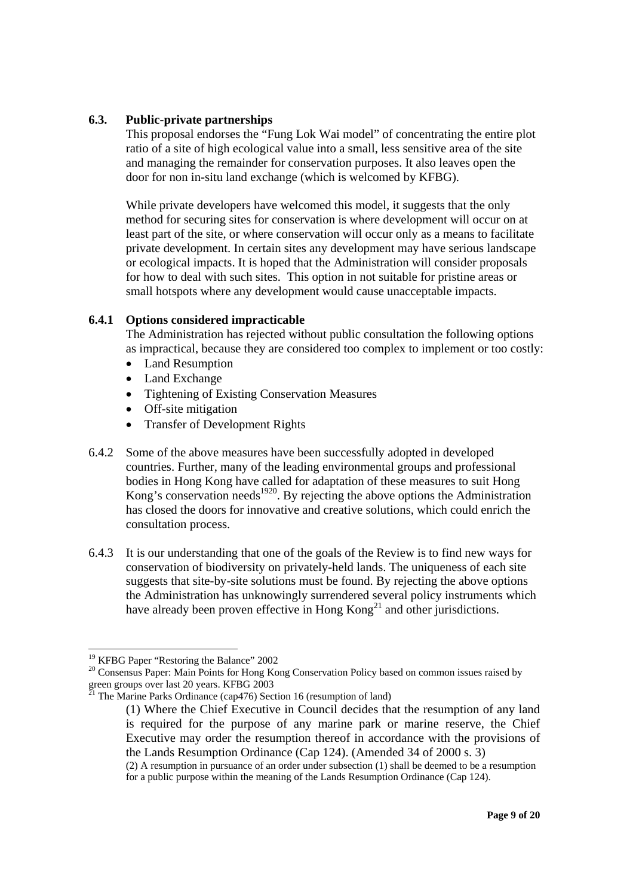#### **6.3. Public-private partnerships**

This proposal endorses the "Fung Lok Wai model" of concentrating the entire plot ratio of a site of high ecological value into a small, less sensitive area of the site and managing the remainder for conservation purposes. It also leaves open the door for non in-situ land exchange (which is welcomed by KFBG).

 While private developers have welcomed this model, it suggests that the only method for securing sites for conservation is where development will occur on at least part of the site, or where conservation will occur only as a means to facilitate private development. In certain sites any development may have serious landscape or ecological impacts. It is hoped that the Administration will consider proposals for how to deal with such sites. This option in not suitable for pristine areas or small hotspots where any development would cause unacceptable impacts.

#### **6.4.1 Options considered impracticable**

The Administration has rejected without public consultation the following options as impractical, because they are considered too complex to implement or too costly:

- Land Resumption
- Land Exchange
- Tightening of Existing Conservation Measures
- Off-site mitigation
- Transfer of Development Rights
- 6.4.2 Some of the above measures have been successfully adopted in developed countries. Further, many of the leading environmental groups and professional bodies in Hong Kong have called for adaptation of these measures to suit Hong Kong's conservation needs<sup>1920</sup>. By rejecting the above options the Administration has closed the doors for innovative and creative solutions, which could enrich the consultation process.
- 6.4.3 It is our understanding that one of the goals of the Review is to find new ways for conservation of biodiversity on privately-held lands. The uniqueness of each site suggests that site-by-site solutions must be found. By rejecting the above options the Administration has unknowingly surrendered several policy instruments which have already been proven effective in Hong  $Kong<sup>21</sup>$  and other jurisdictions.

 <sup>19</sup> KFBG Paper "Restoring the Balance" 2002

<sup>&</sup>lt;sup>20</sup> Consensus Paper: Main Points for Hong Kong Conservation Policy based on common issues raised by green groups over last 20 years. KFBG 2003<br><sup>21</sup> The M<sub>1</sub> is a property of the state 20 years. KFBG 2003

The Marine Parks Ordinance (cap476) Section 16 (resumption of land)

<sup>(1)</sup> Where the Chief Executive in Council decides that the resumption of any land is required for the purpose of any marine park or marine reserve, the Chief Executive may order the resumption thereof in accordance with the provisions of the Lands Resumption Ordinance (Cap 124). (Amended 34 of 2000 s. 3)

<sup>(2)</sup> A resumption in pursuance of an order under subsection (1) shall be deemed to be a resumption for a public purpose within the meaning of the Lands Resumption Ordinance (Cap 124).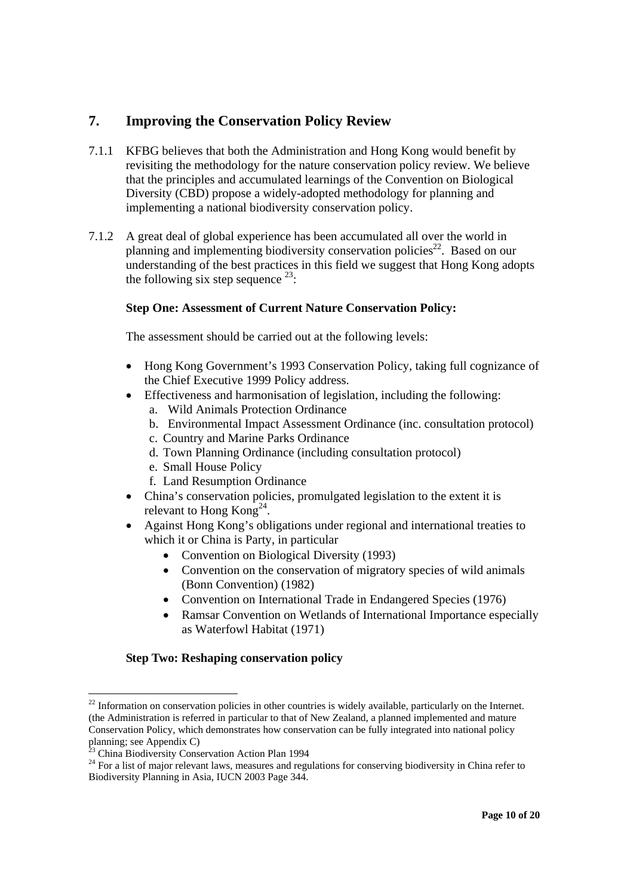# **7. Improving the Conservation Policy Review**

- 7.1.1 KFBG believes that both the Administration and Hong Kong would benefit by revisiting the methodology for the nature conservation policy review. We believe that the principles and accumulated learnings of the Convention on Biological Diversity (CBD) propose a widely-adopted methodology for planning and implementing a national biodiversity conservation policy.
- 7.1.2 A great deal of global experience has been accumulated all over the world in planning and implementing biodiversity conservation policies<sup>22</sup>. Based on our understanding of the best practices in this field we suggest that Hong Kong adopts the following six step sequence  $^{23}$ :

### **Step One: Assessment of Current Nature Conservation Policy:**

The assessment should be carried out at the following levels:

- Hong Kong Government's 1993 Conservation Policy, taking full cognizance of the Chief Executive 1999 Policy address.
- Effectiveness and harmonisation of legislation, including the following:
	- a. Wild Animals Protection Ordinance
	- b. Environmental Impact Assessment Ordinance (inc. consultation protocol)
	- c. Country and Marine Parks Ordinance
	- d. Town Planning Ordinance (including consultation protocol)
	- e. Small House Policy
	- f. Land Resumption Ordinance
- China's conservation policies, promulgated legislation to the extent it is relevant to Hong Kong<sup>24</sup>.
- Against Hong Kong's obligations under regional and international treaties to which it or China is Party, in particular
	- Convention on Biological Diversity (1993)
	- Convention on the conservation of migratory species of wild animals (Bonn Convention) (1982)
	- Convention on International Trade in Endangered Species (1976)
	- Ramsar Convention on Wetlands of International Importance especially as Waterfowl Habitat (1971)

#### **Step Two: Reshaping conservation policy**

l

 $22$  Information on conservation policies in other countries is widely available, particularly on the Internet. (the Administration is referred in particular to that of New Zealand, a planned implemented and mature Conservation Policy, which demonstrates how conservation can be fully integrated into national policy planning; see Appendix C)

<sup>23</sup> China Biodiversity Conservation Action Plan 1994

<sup>&</sup>lt;sup>24</sup> For a list of major relevant laws, measures and regulations for conserving biodiversity in China refer to Biodiversity Planning in Asia, IUCN 2003 Page 344.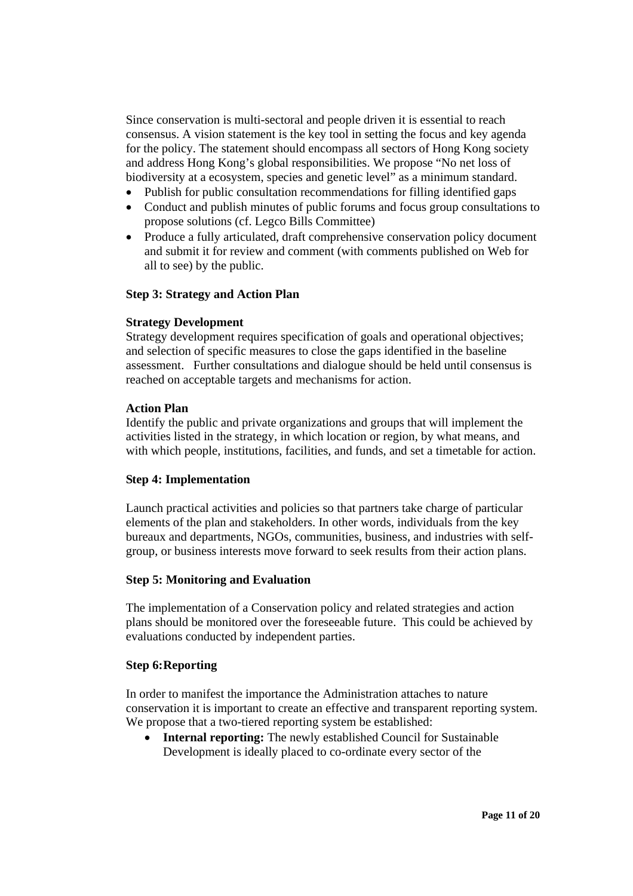Since conservation is multi-sectoral and people driven it is essential to reach consensus. A vision statement is the key tool in setting the focus and key agenda for the policy. The statement should encompass all sectors of Hong Kong society and address Hong Kong's global responsibilities. We propose "No net loss of biodiversity at a ecosystem, species and genetic level" as a minimum standard.

- Publish for public consultation recommendations for filling identified gaps
- Conduct and publish minutes of public forums and focus group consultations to propose solutions (cf. Legco Bills Committee)
- Produce a fully articulated, draft comprehensive conservation policy document and submit it for review and comment (with comments published on Web for all to see) by the public.

#### **Step 3: Strategy and Action Plan**

#### **Strategy Development**

Strategy development requires specification of goals and operational objectives; and selection of specific measures to close the gaps identified in the baseline assessment. Further consultations and dialogue should be held until consensus is reached on acceptable targets and mechanisms for action.

#### **Action Plan**

Identify the public and private organizations and groups that will implement the activities listed in the strategy, in which location or region, by what means, and with which people, institutions, facilities, and funds, and set a timetable for action.

#### **Step 4: Implementation**

Launch practical activities and policies so that partners take charge of particular elements of the plan and stakeholders. In other words, individuals from the key bureaux and departments, NGOs, communities, business, and industries with selfgroup, or business interests move forward to seek results from their action plans.

#### **Step 5: Monitoring and Evaluation**

The implementation of a Conservation policy and related strategies and action plans should be monitored over the foreseeable future. This could be achieved by evaluations conducted by independent parties.

#### **Step 6: Reporting**

In order to manifest the importance the Administration attaches to nature conservation it is important to create an effective and transparent reporting system. We propose that a two-tiered reporting system be established:

• **Internal reporting:** The newly established Council for Sustainable Development is ideally placed to co-ordinate every sector of the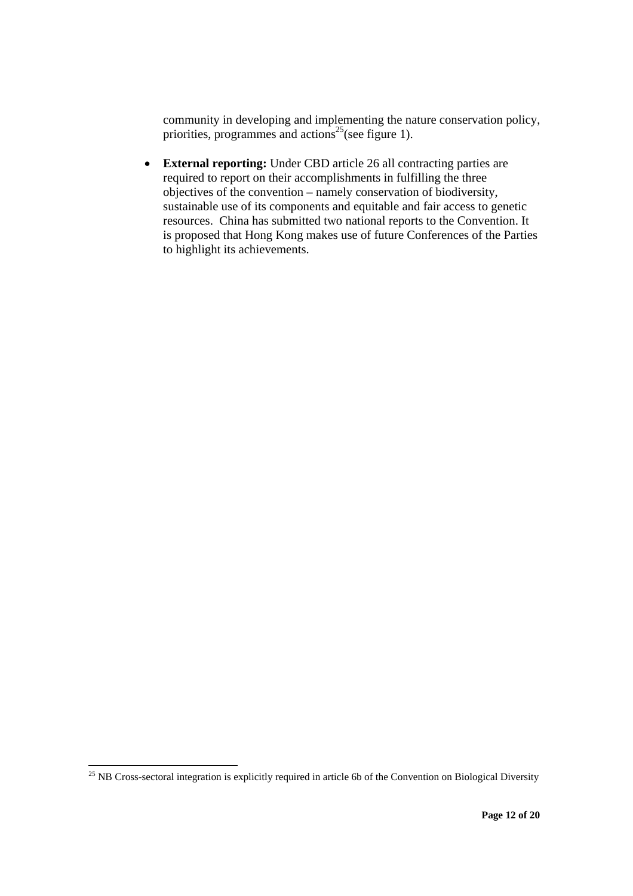community in developing and implementing the nature conservation policy, priorities, programmes and actions<sup>25</sup>(see figure 1).

• **External reporting:** Under CBD article 26 all contracting parties are required to report on their accomplishments in fulfilling the three objectives of the convention – namely conservation of biodiversity, sustainable use of its components and equitable and fair access to genetic resources. China has submitted two national reports to the Convention. It is proposed that Hong Kong makes use of future Conferences of the Parties to highlight its achievements.

 $\overline{a}$ 

 $^{25}$  NB Cross-sectoral integration is explicitly required in article 6b of the Convention on Biological Diversity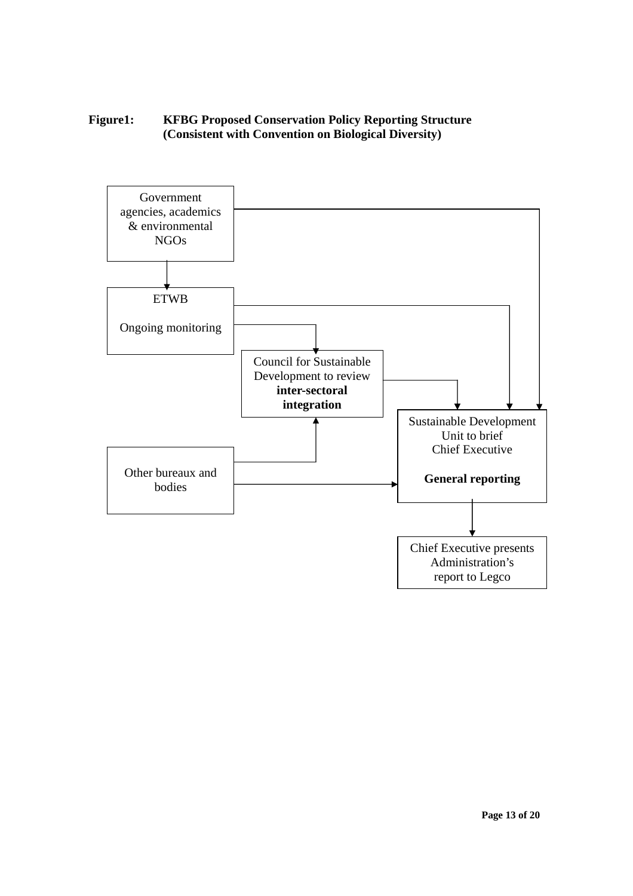### **Figure1: KFBG Proposed Conservation Policy Reporting Structure (Consistent with Convention on Biological Diversity)**

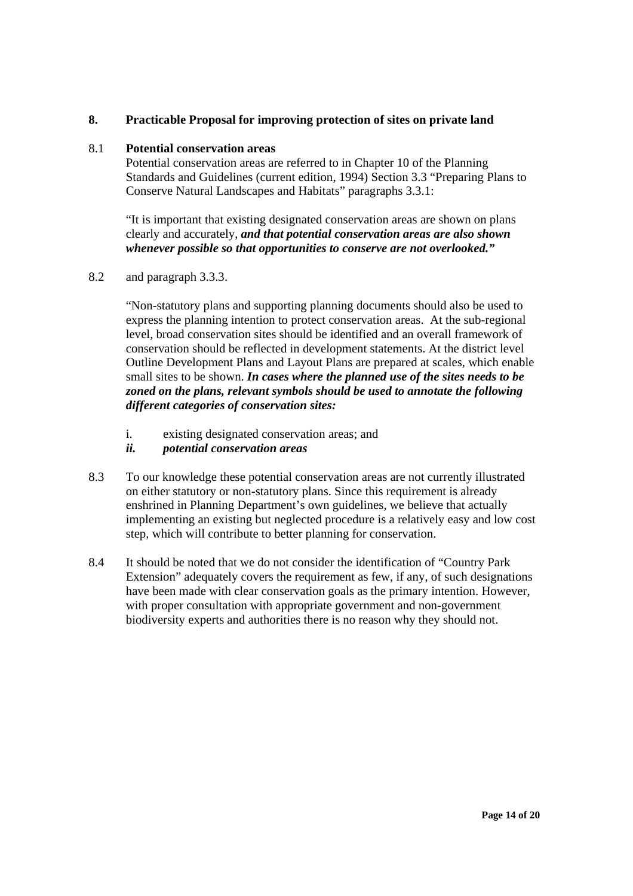### **8. Practicable Proposal for improving protection of sites on private land**

#### 8.1 **Potential conservation areas**

 Potential conservation areas are referred to in Chapter 10 of the Planning Standards and Guidelines (current edition, 1994) Section 3.3 "Preparing Plans to Conserve Natural Landscapes and Habitats" paragraphs 3.3.1:

 "It is important that existing designated conservation areas are shown on plans clearly and accurately, *and that potential conservation areas are also shown whenever possible so that opportunities to conserve are not overlooked."*

8.2 and paragraph 3.3.3.

"Non-statutory plans and supporting planning documents should also be used to express the planning intention to protect conservation areas. At the sub-regional level, broad conservation sites should be identified and an overall framework of conservation should be reflected in development statements. At the district level Outline Development Plans and Layout Plans are prepared at scales, which enable small sites to be shown. *In cases where the planned use of the sites needs to be zoned on the plans, relevant symbols should be used to annotate the following different categories of conservation sites:*

- i. existing designated conservation areas; and
- *ii. potential conservation areas*
- 8.3 To our knowledge these potential conservation areas are not currently illustrated on either statutory or non-statutory plans. Since this requirement is already enshrined in Planning Department's own guidelines, we believe that actually implementing an existing but neglected procedure is a relatively easy and low cost step, which will contribute to better planning for conservation.
- 8.4 It should be noted that we do not consider the identification of "Country Park Extension" adequately covers the requirement as few, if any, of such designations have been made with clear conservation goals as the primary intention. However, with proper consultation with appropriate government and non-government biodiversity experts and authorities there is no reason why they should not.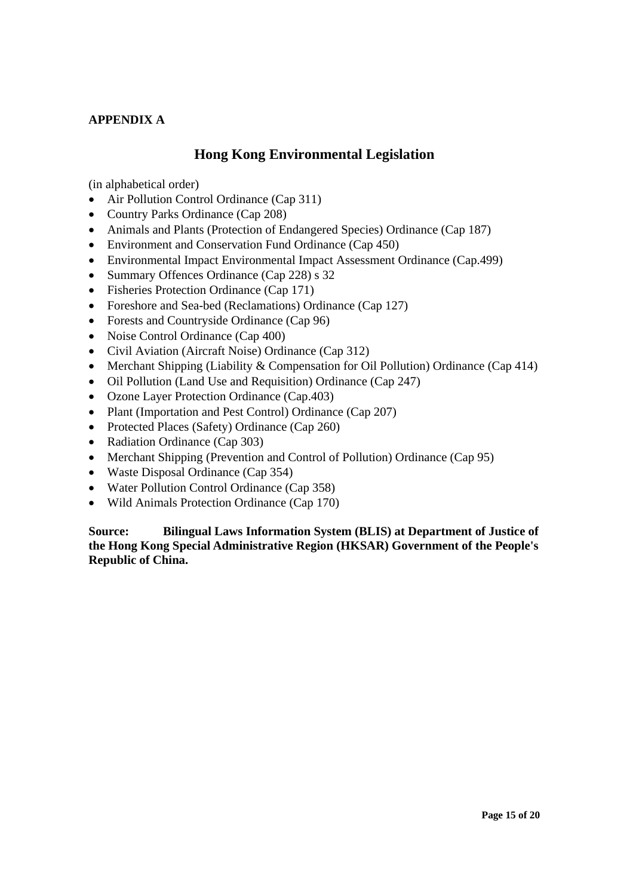### **APPENDIX A**

## **Hong Kong Environmental Legislation**

(in alphabetical order)

- Air Pollution Control Ordinance (Cap 311)
- Country Parks Ordinance (Cap 208)
- Animals and Plants (Protection of Endangered Species) Ordinance (Cap 187)
- Environment and Conservation Fund Ordinance (Cap 450)
- Environmental Impact Environmental Impact Assessment Ordinance (Cap.499)
- Summary Offences Ordinance (Cap 228) s 32
- Fisheries Protection Ordinance (Cap 171)
- Foreshore and Sea-bed (Reclamations) Ordinance (Cap 127)
- Forests and Countryside Ordinance (Cap 96)
- Noise Control Ordinance (Cap 400)
- Civil Aviation (Aircraft Noise) Ordinance (Cap 312)
- Merchant Shipping (Liability & Compensation for Oil Pollution) Ordinance (Cap 414)
- Oil Pollution (Land Use and Requisition) Ordinance (Cap 247)
- Ozone Layer Protection Ordinance (Cap.403)
- Plant (Importation and Pest Control) Ordinance (Cap 207)
- Protected Places (Safety) Ordinance (Cap 260)
- Radiation Ordinance (Cap 303)
- Merchant Shipping (Prevention and Control of Pollution) Ordinance (Cap 95)
- Waste Disposal Ordinance (Cap 354)
- Water Pollution Control Ordinance (Cap 358)
- Wild Animals Protection Ordinance (Cap 170)

**Source: Bilingual Laws Information System (BLIS) at Department of Justice of the Hong Kong Special Administrative Region (HKSAR) Government of the People's Republic of China.**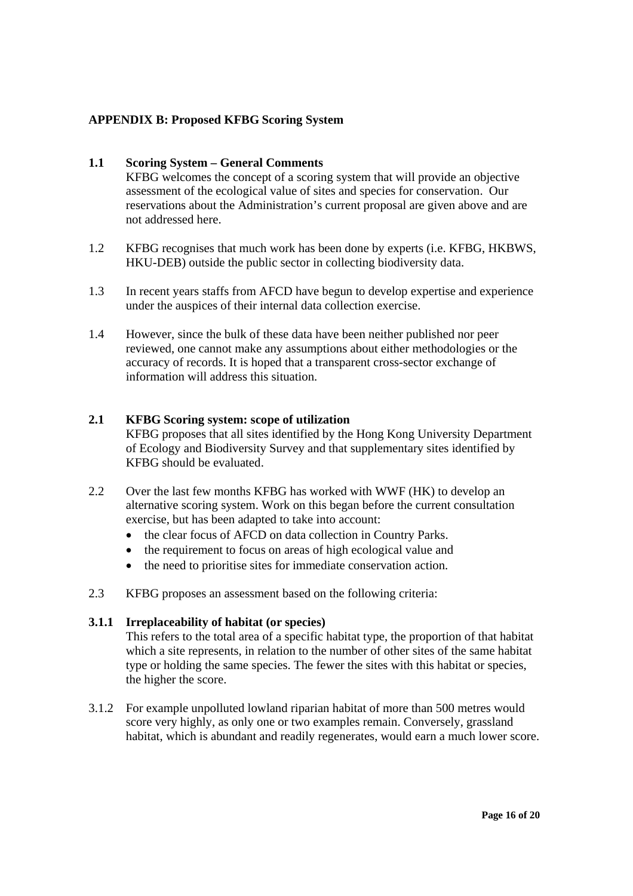### **APPENDIX B: Proposed KFBG Scoring System**

#### **1.1 Scoring System – General Comments**

KFBG welcomes the concept of a scoring system that will provide an objective assessment of the ecological value of sites and species for conservation. Our reservations about the Administration's current proposal are given above and are not addressed here.

- 1.2 KFBG recognises that much work has been done by experts (i.e. KFBG, HKBWS, HKU-DEB) outside the public sector in collecting biodiversity data.
- 1.3 In recent years staffs from AFCD have begun to develop expertise and experience under the auspices of their internal data collection exercise.
- 1.4 However, since the bulk of these data have been neither published nor peer reviewed, one cannot make any assumptions about either methodologies or the accuracy of records. It is hoped that a transparent cross-sector exchange of information will address this situation.

#### **2.1 KFBG Scoring system: scope of utilization**

KFBG proposes that all sites identified by the Hong Kong University Department of Ecology and Biodiversity Survey and that supplementary sites identified by KFBG should be evaluated.

- 2.2 Over the last few months KFBG has worked with WWF (HK) to develop an alternative scoring system. Work on this began before the current consultation exercise, but has been adapted to take into account:
	- the clear focus of AFCD on data collection in Country Parks.
	- the requirement to focus on areas of high ecological value and
	- the need to prioritise sites for immediate conservation action.
- 2.3 KFBG proposes an assessment based on the following criteria:

#### **3.1.1 Irreplaceability of habitat (or species)**

This refers to the total area of a specific habitat type, the proportion of that habitat which a site represents, in relation to the number of other sites of the same habitat type or holding the same species. The fewer the sites with this habitat or species, the higher the score.

3.1.2 For example unpolluted lowland riparian habitat of more than 500 metres would score very highly, as only one or two examples remain. Conversely, grassland habitat, which is abundant and readily regenerates, would earn a much lower score.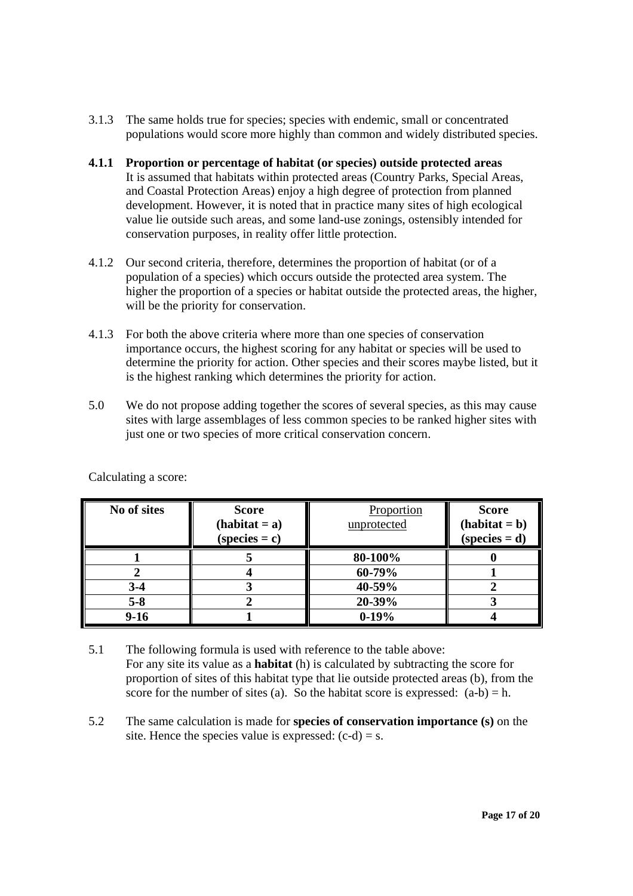- 3.1.3 The same holds true for species; species with endemic, small or concentrated populations would score more highly than common and widely distributed species.
- **4.1.1 Proportion or percentage of habitat (or species) outside protected areas**  It is assumed that habitats within protected areas (Country Parks, Special Areas, and Coastal Protection Areas) enjoy a high degree of protection from planned development. However, it is noted that in practice many sites of high ecological value lie outside such areas, and some land-use zonings, ostensibly intended for conservation purposes, in reality offer little protection.
- 4.1.2 Our second criteria, therefore, determines the proportion of habitat (or of a population of a species) which occurs outside the protected area system. The higher the proportion of a species or habitat outside the protected areas, the higher, will be the priority for conservation.
- 4.1.3 For both the above criteria where more than one species of conservation importance occurs, the highest scoring for any habitat or species will be used to determine the priority for action. Other species and their scores maybe listed, but it is the highest ranking which determines the priority for action.
- 5.0 We do not propose adding together the scores of several species, as this may cause sites with large assemblages of less common species to be ranked higher sites with just one or two species of more critical conservation concern.

| No of sites | <b>Score</b><br>$(habitat = a)$<br>$(species = c)$ | Proportion<br>unprotected | <b>Score</b><br>$(habitat = b)$<br>$(species = d)$ |
|-------------|----------------------------------------------------|---------------------------|----------------------------------------------------|
|             |                                                    | 80-100%                   |                                                    |
|             |                                                    | 60-79%                    |                                                    |
| $3 - 4$     |                                                    | 40-59%                    |                                                    |
| $5 - 8$     |                                                    | 20-39%                    |                                                    |
| $9-16$      |                                                    | $0-19%$                   |                                                    |

Calculating a score:

- 5.1 The following formula is used with reference to the table above: For any site its value as a **habitat** (h) is calculated by subtracting the score for proportion of sites of this habitat type that lie outside protected areas (b), from the score for the number of sites (a). So the habitat score is expressed:  $(a-b) = h$ .
- 5.2 The same calculation is made for **species of conservation importance (s)** on the site. Hence the species value is expressed:  $(c-d) = s$ .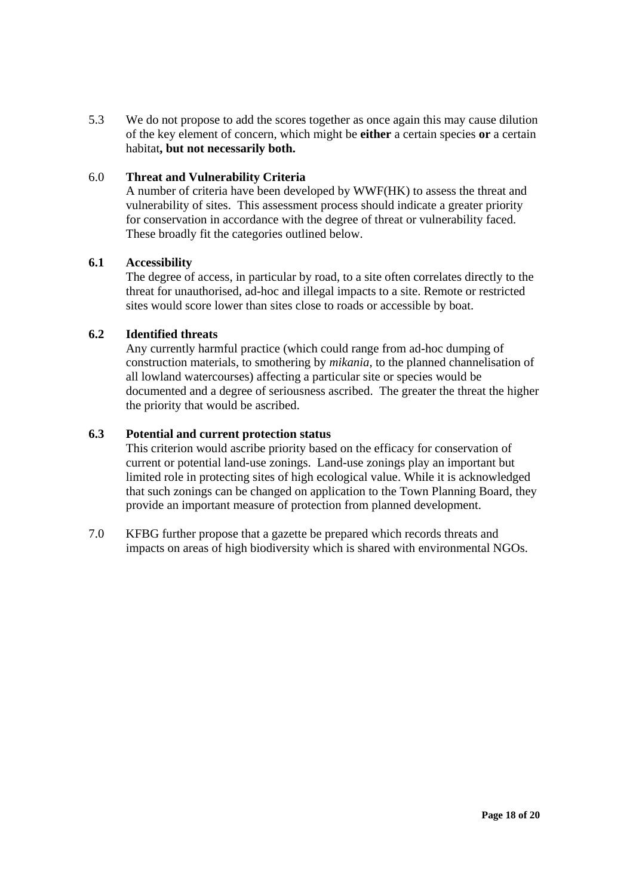5.3 We do not propose to add the scores together as once again this may cause dilution of the key element of concern, which might be **either** a certain species **or** a certain habitat**, but not necessarily both.**

#### 6.0 **Threat and Vulnerability Criteria**

A number of criteria have been developed by WWF(HK) to assess the threat and vulnerability of sites. This assessment process should indicate a greater priority for conservation in accordance with the degree of threat or vulnerability faced. These broadly fit the categories outlined below.

### **6.1 Accessibility**

The degree of access, in particular by road, to a site often correlates directly to the threat for unauthorised, ad-hoc and illegal impacts to a site. Remote or restricted sites would score lower than sites close to roads or accessible by boat.

### **6.2 Identified threats**

Any currently harmful practice (which could range from ad-hoc dumping of construction materials, to smothering by *mikania,* to the planned channelisation of all lowland watercourses) affecting a particular site or species would be documented and a degree of seriousness ascribed. The greater the threat the higher the priority that would be ascribed.

### **6.3 Potential and current protection status**

This criterion would ascribe priority based on the efficacy for conservation of current or potential land-use zonings. Land-use zonings play an important but limited role in protecting sites of high ecological value. While it is acknowledged that such zonings can be changed on application to the Town Planning Board, they provide an important measure of protection from planned development.

7.0 KFBG further propose that a gazette be prepared which records threats and impacts on areas of high biodiversity which is shared with environmental NGOs.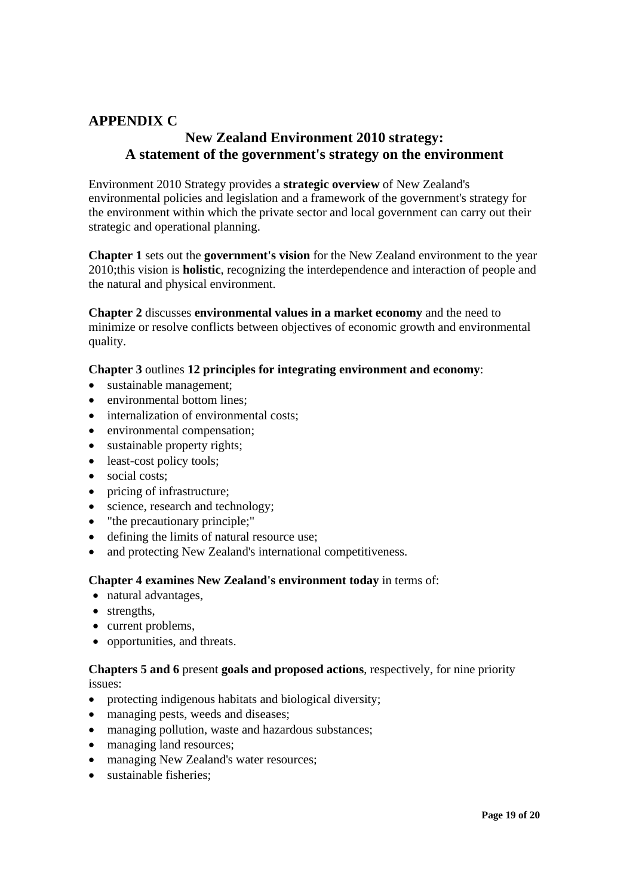# **APPENDIX C**

# **New Zealand Environment 2010 strategy: A statement of the government's strategy on the environment**

Environment 2010 Strategy provides a **strategic overview** of New Zealand's environmental policies and legislation and a framework of the government's strategy for the environment within which the private sector and local government can carry out their strategic and operational planning.

**Chapter 1** sets out the **government's vision** for the New Zealand environment to the year 2010;this vision is **holistic**, recognizing the interdependence and interaction of people and the natural and physical environment.

**Chapter 2** discusses **environmental values in a market economy** and the need to minimize or resolve conflicts between objectives of economic growth and environmental quality.

### **Chapter 3** outlines **12 principles for integrating environment and economy**:

- sustainable management;
- environmental bottom lines:
- internalization of environmental costs;
- environmental compensation;
- sustainable property rights;
- least-cost policy tools;
- social costs;
- pricing of infrastructure;
- science, research and technology;
- "the precautionary principle;"
- defining the limits of natural resource use;
- and protecting New Zealand's international competitiveness.

#### **Chapter 4 examines New Zealand's environment today** in terms of:

- natural advantages,
- strengths,
- current problems,
- opportunities, and threats.

#### **Chapters 5 and 6** present **goals and proposed actions**, respectively, for nine priority issues:

- protecting indigenous habitats and biological diversity;
- managing pests, weeds and diseases;
- managing pollution, waste and hazardous substances;
- managing land resources:
- managing New Zealand's water resources;
- sustainable fisheries: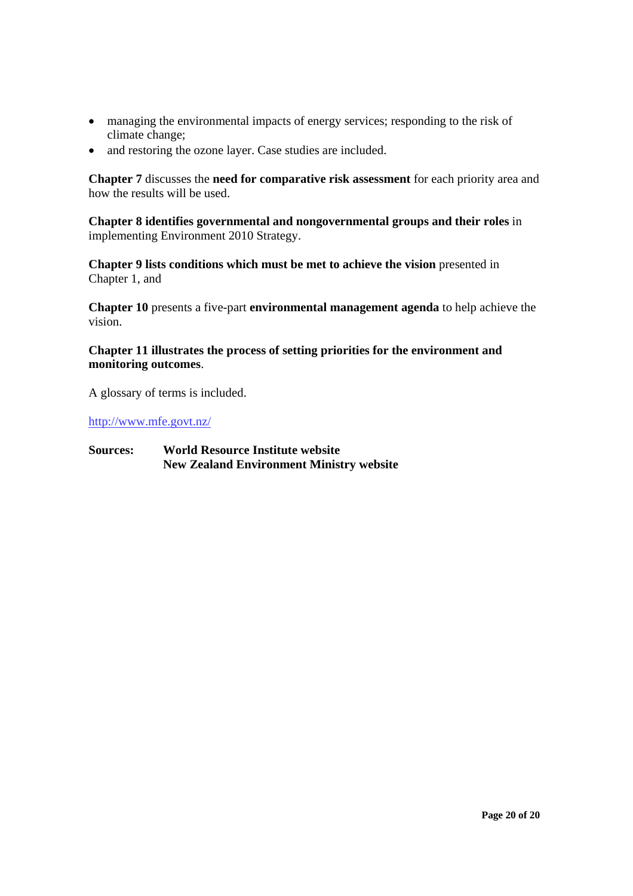- managing the environmental impacts of energy services; responding to the risk of climate change;
- and restoring the ozone layer. Case studies are included.

**Chapter 7** discusses the **need for comparative risk assessment** for each priority area and how the results will be used.

**Chapter 8 identifies governmental and nongovernmental groups and their roles** in implementing Environment 2010 Strategy.

**Chapter 9 lists conditions which must be met to achieve the vision** presented in Chapter 1, and

**Chapter 10** presents a five-part **environmental management agenda** to help achieve the vision.

### **Chapter 11 illustrates the process of setting priorities for the environment and monitoring outcomes**.

A glossary of terms is included.

http://www.mfe.govt.nz/

### **Sources: World Resource Institute website New Zealand Environment Ministry website**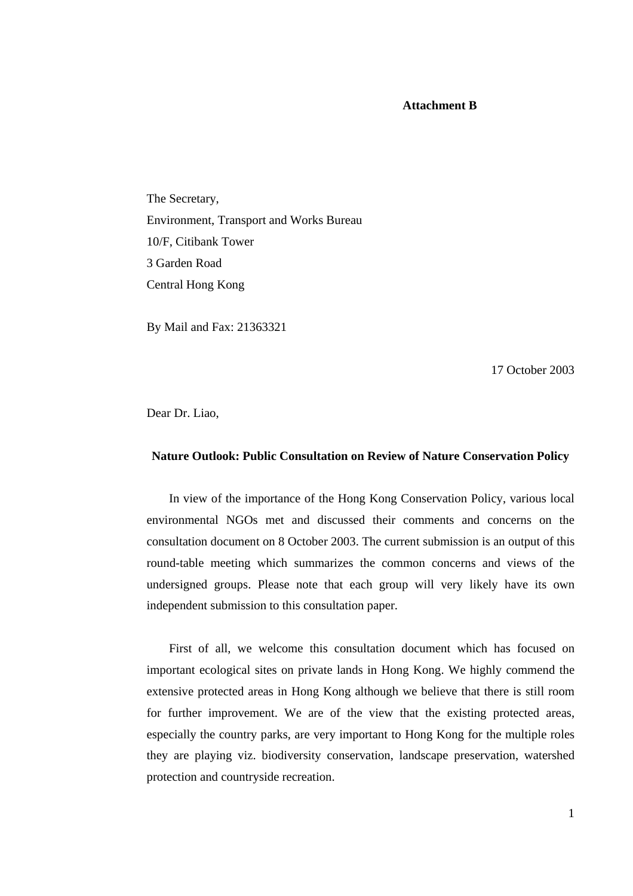#### **Attachment B**

The Secretary, Environment, Transport and Works Bureau 10/F, Citibank Tower 3 Garden Road Central Hong Kong

By Mail and Fax: 21363321

17 October 2003

Dear Dr. Liao,

#### **Nature Outlook: Public Consultation on Review of Nature Conservation Policy**

In view of the importance of the Hong Kong Conservation Policy, various local environmental NGOs met and discussed their comments and concerns on the consultation document on 8 October 2003. The current submission is an output of this round-table meeting which summarizes the common concerns and views of the undersigned groups. Please note that each group will very likely have its own independent submission to this consultation paper.

First of all, we welcome this consultation document which has focused on important ecological sites on private lands in Hong Kong. We highly commend the extensive protected areas in Hong Kong although we believe that there is still room for further improvement. We are of the view that the existing protected areas, especially the country parks, are very important to Hong Kong for the multiple roles they are playing viz. biodiversity conservation, landscape preservation, watershed protection and countryside recreation.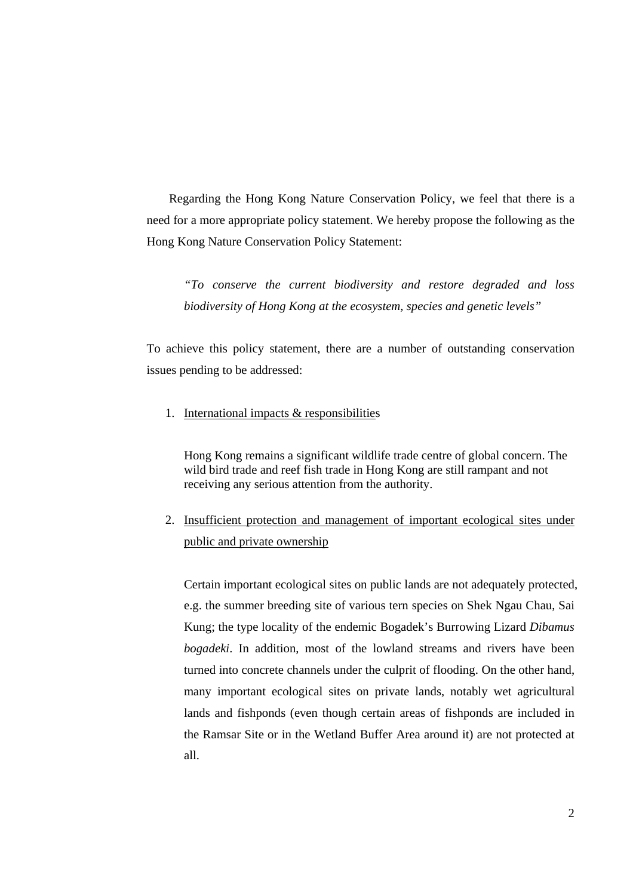Regarding the Hong Kong Nature Conservation Policy, we feel that there is a need for a more appropriate policy statement. We hereby propose the following as the Hong Kong Nature Conservation Policy Statement:

*"To conserve the current biodiversity and restore degraded and loss biodiversity of Hong Kong at the ecosystem, species and genetic levels"* 

To achieve this policy statement, there are a number of outstanding conservation issues pending to be addressed:

1. International impacts & responsibilities

Hong Kong remains a significant wildlife trade centre of global concern. The wild bird trade and reef fish trade in Hong Kong are still rampant and not receiving any serious attention from the authority.

2. Insufficient protection and management of important ecological sites under public and private ownership

Certain important ecological sites on public lands are not adequately protected, e.g. the summer breeding site of various tern species on Shek Ngau Chau, Sai Kung; the type locality of the endemic Bogadek's Burrowing Lizard *Dibamus bogadeki*. In addition, most of the lowland streams and rivers have been turned into concrete channels under the culprit of flooding. On the other hand, many important ecological sites on private lands, notably wet agricultural lands and fishponds (even though certain areas of fishponds are included in the Ramsar Site or in the Wetland Buffer Area around it) are not protected at all.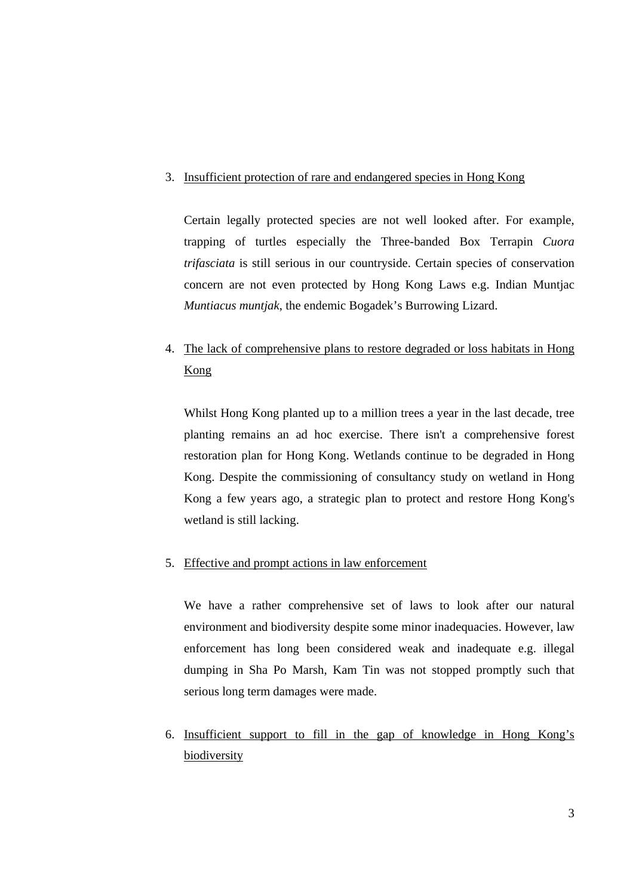#### 3. Insufficient protection of rare and endangered species in Hong Kong

Certain legally protected species are not well looked after. For example, trapping of turtles especially the Three-banded Box Terrapin *Cuora trifasciata* is still serious in our countryside. Certain species of conservation concern are not even protected by Hong Kong Laws e.g. Indian Muntjac *Muntiacus muntjak*, the endemic Bogadek's Burrowing Lizard.

# 4. The lack of comprehensive plans to restore degraded or loss habitats in Hong Kong

Whilst Hong Kong planted up to a million trees a year in the last decade, tree planting remains an ad hoc exercise. There isn't a comprehensive forest restoration plan for Hong Kong. Wetlands continue to be degraded in Hong Kong. Despite the commissioning of consultancy study on wetland in Hong Kong a few years ago, a strategic plan to protect and restore Hong Kong's wetland is still lacking.

### 5. Effective and prompt actions in law enforcement

We have a rather comprehensive set of laws to look after our natural environment and biodiversity despite some minor inadequacies. However, law enforcement has long been considered weak and inadequate e.g. illegal dumping in Sha Po Marsh, Kam Tin was not stopped promptly such that serious long term damages were made.

6. Insufficient support to fill in the gap of knowledge in Hong Kong's biodiversity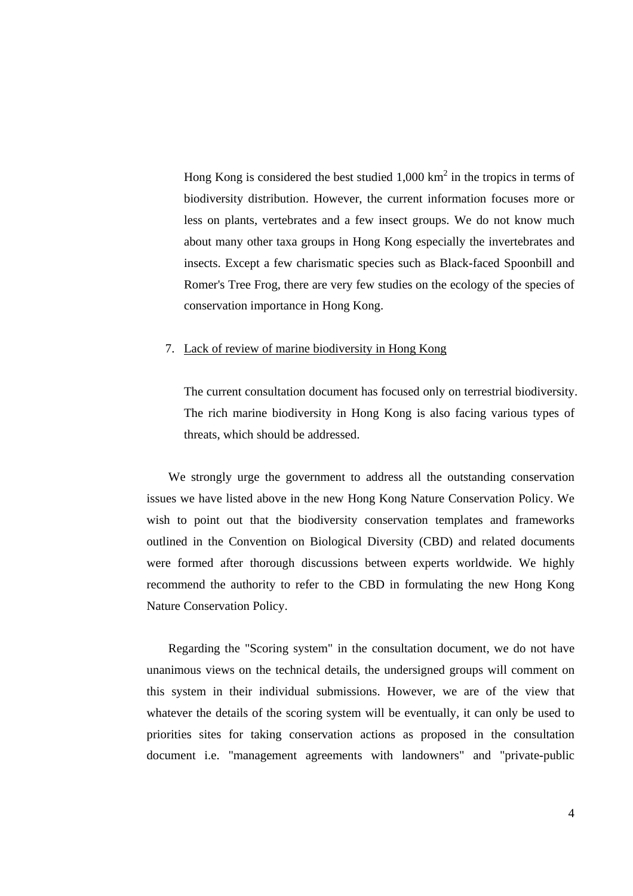Hong Kong is considered the best studied  $1,000 \text{ km}^2$  in the tropics in terms of biodiversity distribution. However, the current information focuses more or less on plants, vertebrates and a few insect groups. We do not know much about many other taxa groups in Hong Kong especially the invertebrates and insects. Except a few charismatic species such as Black-faced Spoonbill and Romer's Tree Frog, there are very few studies on the ecology of the species of conservation importance in Hong Kong.

#### 7. Lack of review of marine biodiversity in Hong Kong

The current consultation document has focused only on terrestrial biodiversity. The rich marine biodiversity in Hong Kong is also facing various types of threats, which should be addressed.

We strongly urge the government to address all the outstanding conservation issues we have listed above in the new Hong Kong Nature Conservation Policy. We wish to point out that the biodiversity conservation templates and frameworks outlined in the Convention on Biological Diversity (CBD) and related documents were formed after thorough discussions between experts worldwide. We highly recommend the authority to refer to the CBD in formulating the new Hong Kong Nature Conservation Policy.

Regarding the "Scoring system" in the consultation document, we do not have unanimous views on the technical details, the undersigned groups will comment on this system in their individual submissions. However, we are of the view that whatever the details of the scoring system will be eventually, it can only be used to priorities sites for taking conservation actions as proposed in the consultation document i.e. "management agreements with landowners" and "private-public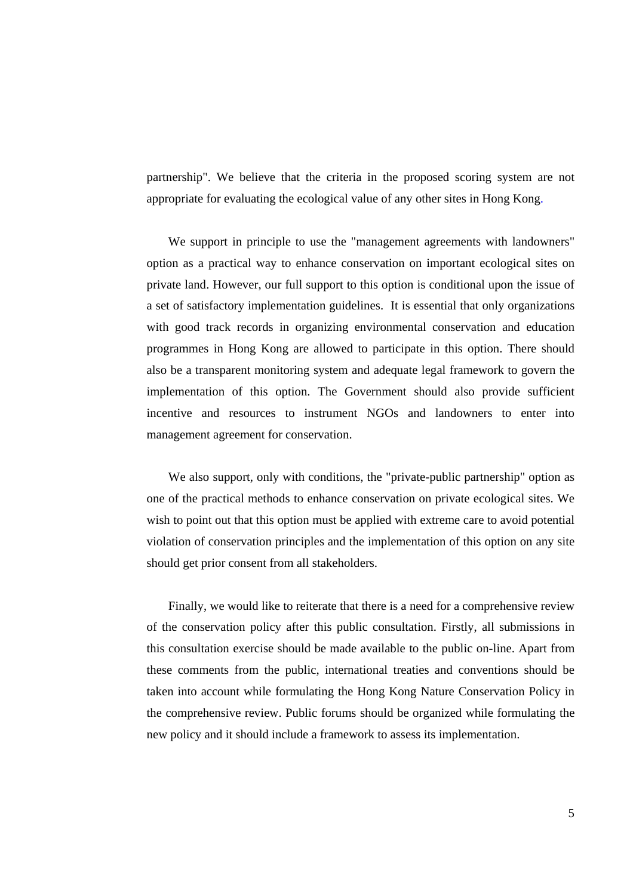partnership". We believe that the criteria in the proposed scoring system are not appropriate for evaluating the ecological value of any other sites in Hong Kong.

We support in principle to use the "management agreements with landowners" option as a practical way to enhance conservation on important ecological sites on private land. However, our full support to this option is conditional upon the issue of a set of satisfactory implementation guidelines. It is essential that only organizations with good track records in organizing environmental conservation and education programmes in Hong Kong are allowed to participate in this option. There should also be a transparent monitoring system and adequate legal framework to govern the implementation of this option. The Government should also provide sufficient incentive and resources to instrument NGOs and landowners to enter into management agreement for conservation.

We also support, only with conditions, the "private-public partnership" option as one of the practical methods to enhance conservation on private ecological sites. We wish to point out that this option must be applied with extreme care to avoid potential violation of conservation principles and the implementation of this option on any site should get prior consent from all stakeholders.

Finally, we would like to reiterate that there is a need for a comprehensive review of the conservation policy after this public consultation. Firstly, all submissions in this consultation exercise should be made available to the public on-line. Apart from these comments from the public, international treaties and conventions should be taken into account while formulating the Hong Kong Nature Conservation Policy in the comprehensive review. Public forums should be organized while formulating the new policy and it should include a framework to assess its implementation.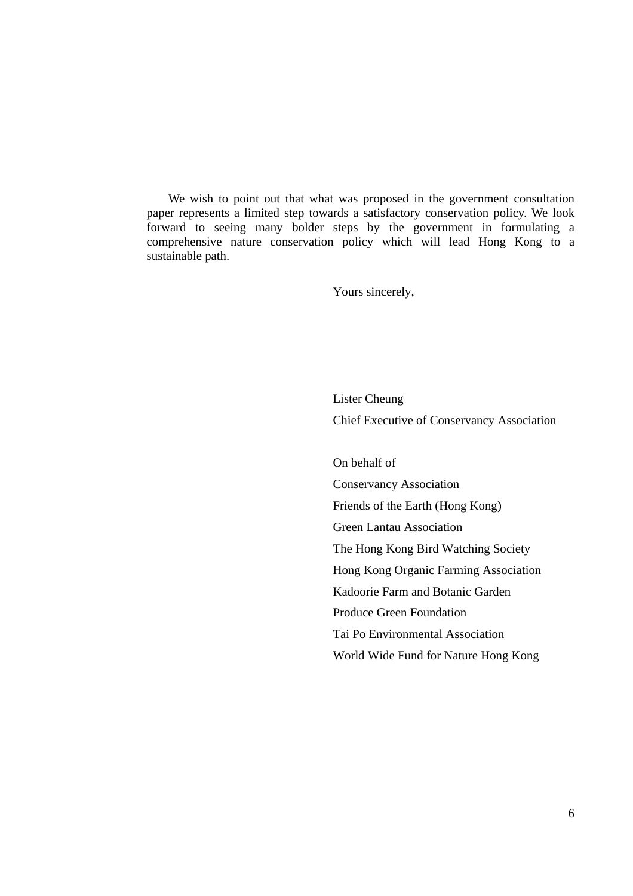We wish to point out that what was proposed in the government consultation paper represents a limited step towards a satisfactory conservation policy. We look forward to seeing many bolder steps by the government in formulating a comprehensive nature conservation policy which will lead Hong Kong to a sustainable path.

Yours sincerely,

 Lister Cheung Chief Executive of Conservancy Association

 On behalf of Conservancy Association Friends of the Earth (Hong Kong) Green Lantau Association The Hong Kong Bird Watching Society Hong Kong Organic Farming Association Kadoorie Farm and Botanic Garden Produce Green Foundation Tai Po Environmental Association World Wide Fund for Nature Hong Kong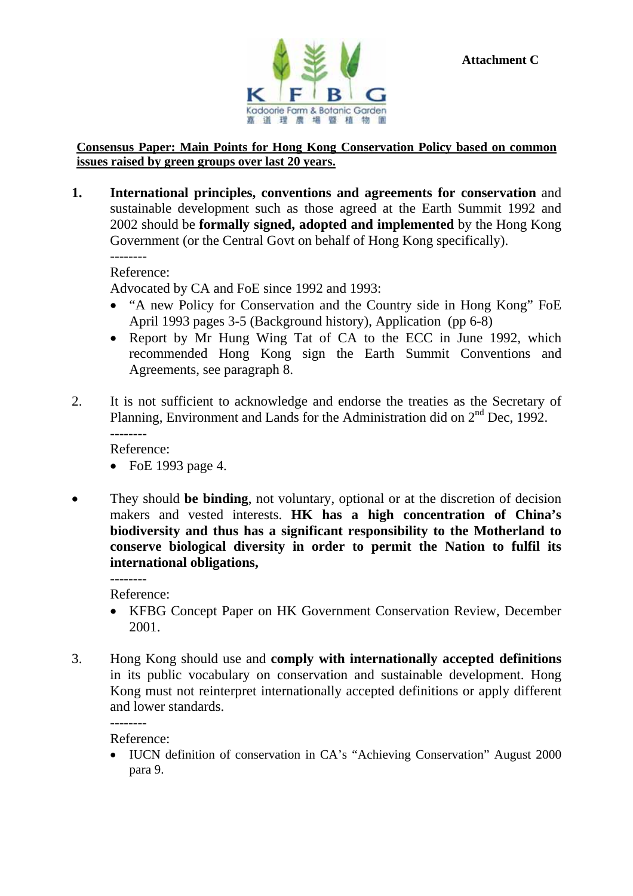



### **Consensus Paper: Main Points for Hong Kong Conservation Policy based on common issues raised by green groups over last 20 years.**

**1. International principles, conventions and agreements for conservation** and sustainable development such as those agreed at the Earth Summit 1992 and 2002 should be **formally signed, adopted and implemented** by the Hong Kong Government (or the Central Govt on behalf of Hong Kong specifically). --------

Reference:

Advocated by CA and FoE since 1992 and 1993:

- "A new Policy for Conservation and the Country side in Hong Kong" FoE April 1993 pages 3-5 (Background history), Application (pp 6-8)
- Report by Mr Hung Wing Tat of CA to the ECC in June 1992, which recommended Hong Kong sign the Earth Summit Conventions and Agreements, see paragraph 8.
- 2. It is not sufficient to acknowledge and endorse the treaties as the Secretary of Planning, Environment and Lands for the Administration did on 2<sup>nd</sup> Dec, 1992. --------

Reference:

- FoE 1993 page 4.
- They should be binding, not voluntary, optional or at the discretion of decision makers and vested interests. **HK has a high concentration of China's biodiversity and thus has a significant responsibility to the Motherland to conserve biological diversity in order to permit the Nation to fulfil its international obligations,**

--------

- Reference:
- KFBG Concept Paper on HK Government Conservation Review, December 2001.
- 3. Hong Kong should use and **comply with internationally accepted definitions** in its public vocabulary on conservation and sustainable development. Hong Kong must not reinterpret internationally accepted definitions or apply different and lower standards.

Reference:

--------

• IUCN definition of conservation in CA's "Achieving Conservation" August 2000 para 9.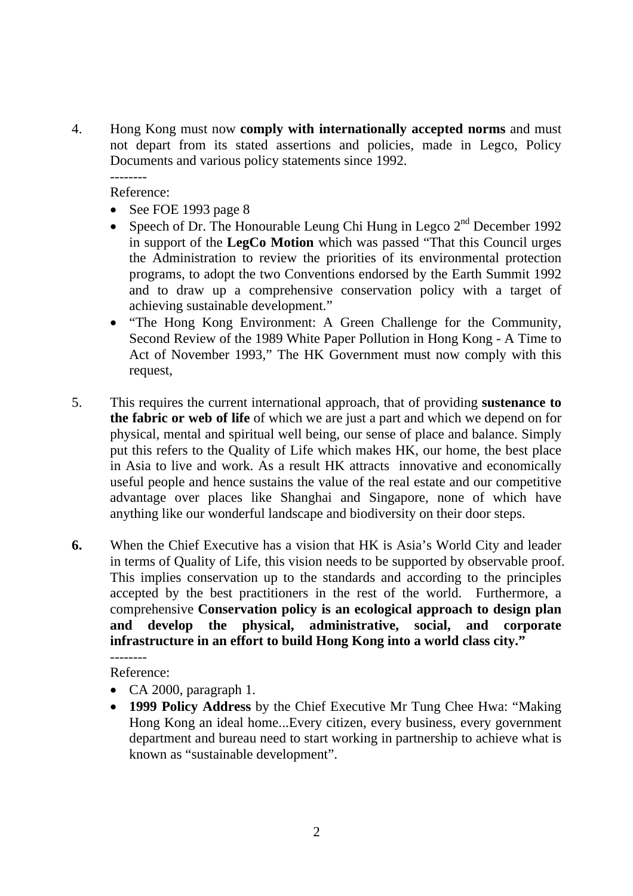4. Hong Kong must now **comply with internationally accepted norms** and must not depart from its stated assertions and policies, made in Legco, Policy Documents and various policy statements since 1992. --------

Reference:

- See FOE 1993 page 8
- Speech of Dr. The Honourable Leung Chi Hung in Legco  $2<sup>nd</sup>$  December 1992 in support of the **LegCo Motion** which was passed "That this Council urges the Administration to review the priorities of its environmental protection programs, to adopt the two Conventions endorsed by the Earth Summit 1992 and to draw up a comprehensive conservation policy with a target of achieving sustainable development."
- "The Hong Kong Environment: A Green Challenge for the Community, Second Review of the 1989 White Paper Pollution in Hong Kong - A Time to Act of November 1993," The HK Government must now comply with this request,
- 5. This requires the current international approach, that of providing **sustenance to the fabric or web of life** of which we are just a part and which we depend on for physical, mental and spiritual well being, our sense of place and balance. Simply put this refers to the Quality of Life which makes HK, our home, the best place in Asia to live and work. As a result HK attracts innovative and economically useful people and hence sustains the value of the real estate and our competitive advantage over places like Shanghai and Singapore, none of which have anything like our wonderful landscape and biodiversity on their door steps.
- **6.** When the Chief Executive has a vision that HK is Asia's World City and leader in terms of Quality of Life, this vision needs to be supported by observable proof. This implies conservation up to the standards and according to the principles accepted by the best practitioners in the rest of the world. Furthermore, a comprehensive **Conservation policy is an ecological approach to design plan and develop the physical, administrative, social, and corporate infrastructure in an effort to build Hong Kong into a world class city."**  --------

Reference:

- CA 2000, paragraph 1.
- **1999 Policy Address** by the Chief Executive Mr Tung Chee Hwa: "Making Hong Kong an ideal home...Every citizen, every business, every government department and bureau need to start working in partnership to achieve what is known as "sustainable development".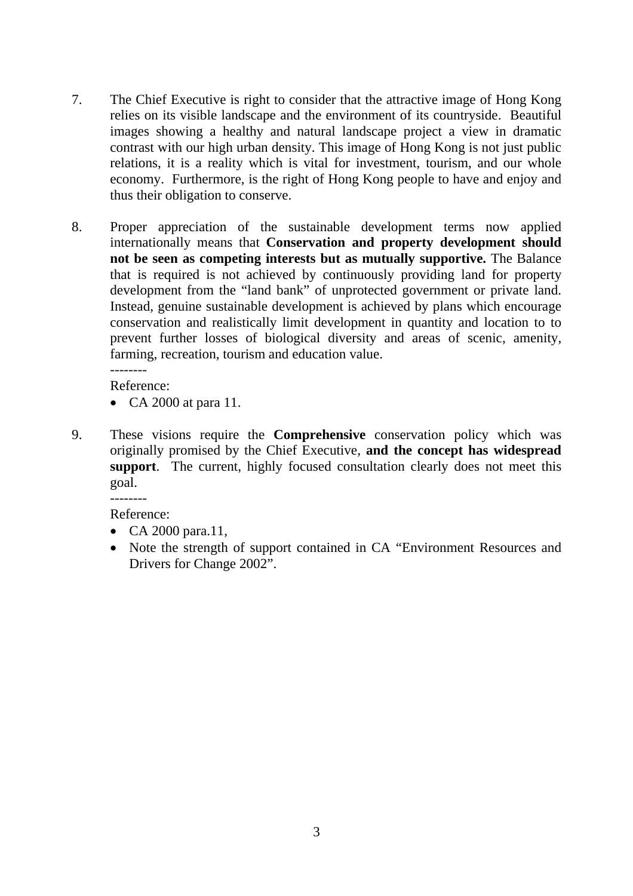- 7. The Chief Executive is right to consider that the attractive image of Hong Kong relies on its visible landscape and the environment of its countryside. Beautiful images showing a healthy and natural landscape project a view in dramatic contrast with our high urban density. This image of Hong Kong is not just public relations, it is a reality which is vital for investment, tourism, and our whole economy. Furthermore, is the right of Hong Kong people to have and enjoy and thus their obligation to conserve.
- 8. Proper appreciation of the sustainable development terms now applied internationally means that **Conservation and property development should not be seen as competing interests but as mutually supportive.** The Balance that is required is not achieved by continuously providing land for property development from the "land bank" of unprotected government or private land. Instead, genuine sustainable development is achieved by plans which encourage conservation and realistically limit development in quantity and location to to prevent further losses of biological diversity and areas of scenic, amenity, farming, recreation, tourism and education value. --------

Reference:

- CA 2000 at para 11.
- 9. These visions require the **Comprehensive** conservation policy which was originally promised by the Chief Executive, **and the concept has widespread support**. The current, highly focused consultation clearly does not meet this goal.

--------

Reference:

- CA 2000 para.11,
- Note the strength of support contained in CA "Environment Resources and Drivers for Change 2002".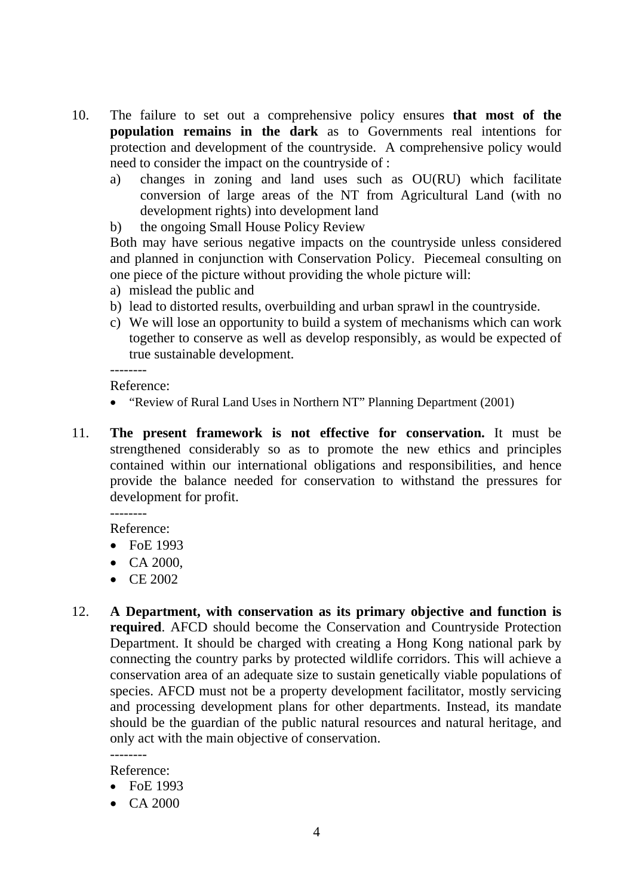- 10. The failure to set out a comprehensive policy ensures **that most of the population remains in the dark** as to Governments real intentions for protection and development of the countryside. A comprehensive policy would need to consider the impact on the countryside of :
	- a) changes in zoning and land uses such as OU(RU) which facilitate conversion of large areas of the NT from Agricultural Land (with no development rights) into development land
	- b) the ongoing Small House Policy Review

Both may have serious negative impacts on the countryside unless considered and planned in conjunction with Conservation Policy. Piecemeal consulting on one piece of the picture without providing the whole picture will:

- a) mislead the public and
- b) lead to distorted results, overbuilding and urban sprawl in the countryside.
- c) We will lose an opportunity to build a system of mechanisms which can work together to conserve as well as develop responsibly, as would be expected of true sustainable development.

Reference:

--------

- "Review of Rural Land Uses in Northern NT" Planning Department (2001)
- 11. **The present framework is not effective for conservation.** It must be strengthened considerably so as to promote the new ethics and principles contained within our international obligations and responsibilities, and hence provide the balance needed for conservation to withstand the pressures for development for profit. --------

Reference:

- FoE 1993
- CA 2000,
- CE 2002
- 12. **A Department, with conservation as its primary objective and function is required**. AFCD should become the Conservation and Countryside Protection Department. It should be charged with creating a Hong Kong national park by connecting the country parks by protected wildlife corridors. This will achieve a conservation area of an adequate size to sustain genetically viable populations of species. AFCD must not be a property development facilitator, mostly servicing and processing development plans for other departments. Instead, its mandate should be the guardian of the public natural resources and natural heritage, and only act with the main objective of conservation.

Reference:

--------

- FoE 1993
- CA 2000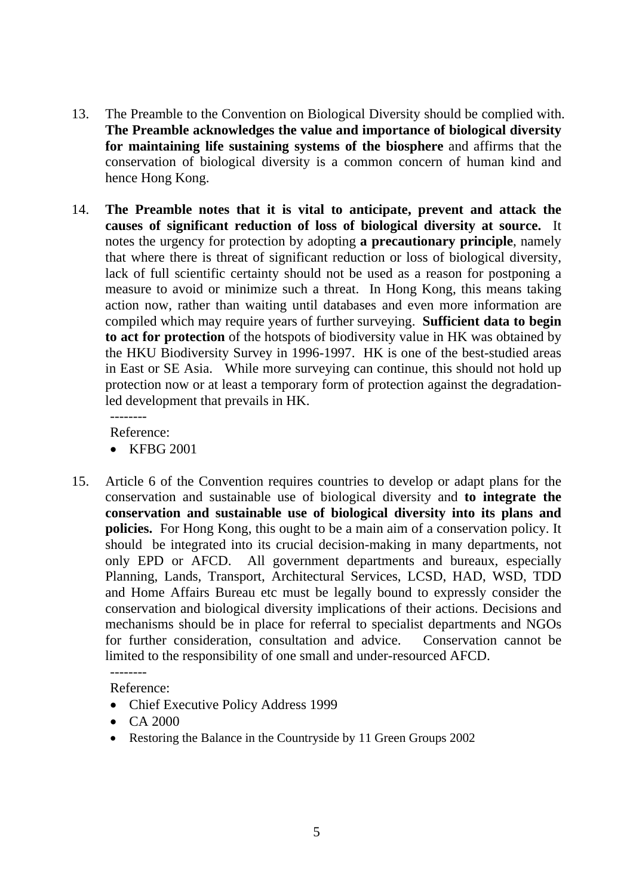- 13. The Preamble to the Convention on Biological Diversity should be complied with. **The Preamble acknowledges the value and importance of biological diversity for maintaining life sustaining systems of the biosphere** and affirms that the conservation of biological diversity is a common concern of human kind and hence Hong Kong.
- 14. **The Preamble notes that it is vital to anticipate, prevent and attack the causes of significant reduction of loss of biological diversity at source.** It notes the urgency for protection by adopting **a precautionary principle**, namely that where there is threat of significant reduction or loss of biological diversity, lack of full scientific certainty should not be used as a reason for postponing a measure to avoid or minimize such a threat. In Hong Kong, this means taking action now, rather than waiting until databases and even more information are compiled which may require years of further surveying. **Sufficient data to begin to act for protection** of the hotspots of biodiversity value in HK was obtained by the HKU Biodiversity Survey in 1996-1997. HK is one of the best-studied areas in East or SE Asia. While more surveying can continue, this should not hold up protection now or at least a temporary form of protection against the degradationled development that prevails in HK.

--------

Reference:

- KFBG 2001
- 15. Article 6 of the Convention requires countries to develop or adapt plans for the conservation and sustainable use of biological diversity and **to integrate the conservation and sustainable use of biological diversity into its plans and policies.** For Hong Kong, this ought to be a main aim of a conservation policy. It should be integrated into its crucial decision-making in many departments, not only EPD or AFCD. All government departments and bureaux, especially Planning, Lands, Transport, Architectural Services, LCSD, HAD, WSD, TDD and Home Affairs Bureau etc must be legally bound to expressly consider the conservation and biological diversity implications of their actions. Decisions and mechanisms should be in place for referral to specialist departments and NGOs for further consideration, consultation and advice. Conservation cannot be limited to the responsibility of one small and under-resourced AFCD.

Reference:

--------

- Chief Executive Policy Address 1999
- CA 2000
- Restoring the Balance in the Countryside by 11 Green Groups 2002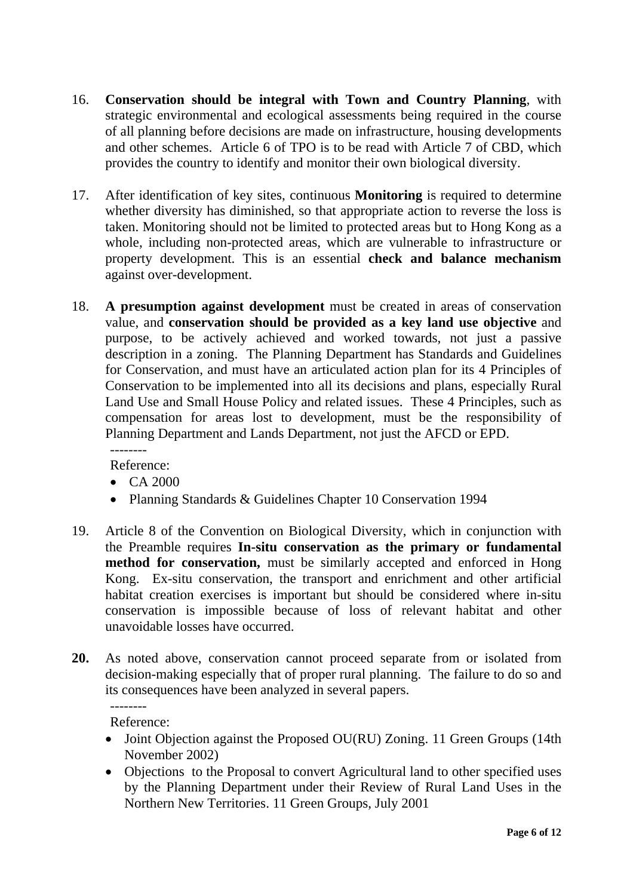- 16. **Conservation should be integral with Town and Country Planning**, with strategic environmental and ecological assessments being required in the course of all planning before decisions are made on infrastructure, housing developments and other schemes. Article 6 of TPO is to be read with Article 7 of CBD, which provides the country to identify and monitor their own biological diversity.
- 17. After identification of key sites, continuous **Monitoring** is required to determine whether diversity has diminished, so that appropriate action to reverse the loss is taken. Monitoring should not be limited to protected areas but to Hong Kong as a whole, including non-protected areas, which are vulnerable to infrastructure or property development. This is an essential **check and balance mechanism** against over-development.
- 18. **A presumption against development** must be created in areas of conservation value, and **conservation should be provided as a key land use objective** and purpose, to be actively achieved and worked towards, not just a passive description in a zoning. The Planning Department has Standards and Guidelines for Conservation, and must have an articulated action plan for its 4 Principles of Conservation to be implemented into all its decisions and plans, especially Rural Land Use and Small House Policy and related issues. These 4 Principles, such as compensation for areas lost to development, must be the responsibility of Planning Department and Lands Department, not just the AFCD or EPD. --------

Reference:

- CA 2000
- Planning Standards & Guidelines Chapter 10 Conservation 1994
- 19. Article 8 of the Convention on Biological Diversity, which in conjunction with the Preamble requires **In-situ conservation as the primary or fundamental method for conservation,** must be similarly accepted and enforced in Hong Kong. Ex-situ conservation, the transport and enrichment and other artificial habitat creation exercises is important but should be considered where in-situ conservation is impossible because of loss of relevant habitat and other unavoidable losses have occurred.
- **20.** As noted above, conservation cannot proceed separate from or isolated from decision-making especially that of proper rural planning. The failure to do so and its consequences have been analyzed in several papers. --------

Reference:

- Joint Objection against the Proposed OU(RU) Zoning. 11 Green Groups (14th November 2002)
- Objections to the Proposal to convert Agricultural land to other specified uses by the Planning Department under their Review of Rural Land Uses in the Northern New Territories. 11 Green Groups, July 2001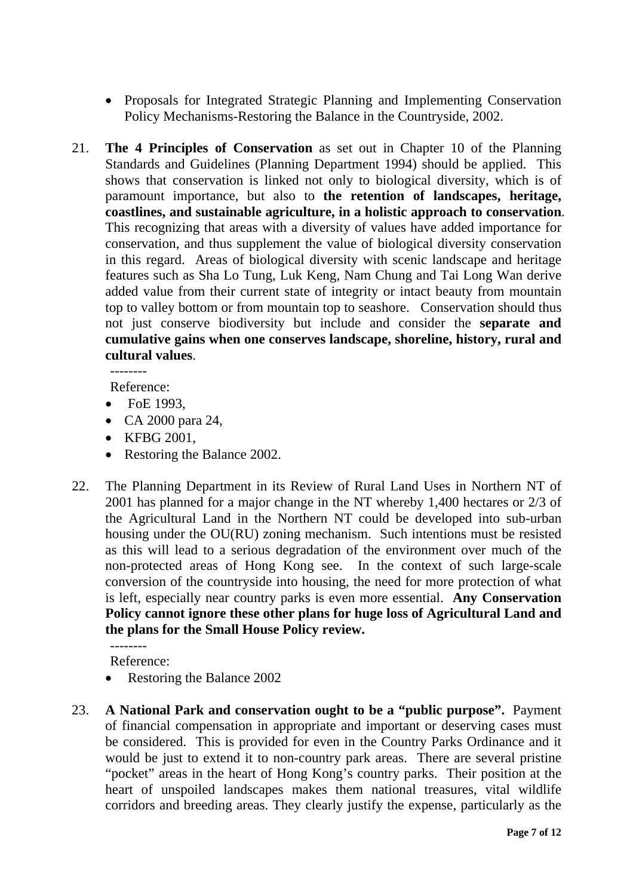- Proposals for Integrated Strategic Planning and Implementing Conservation Policy Mechanisms-Restoring the Balance in the Countryside, 2002.
- 21. **The 4 Principles of Conservation** as set out in Chapter 10 of the Planning Standards and Guidelines (Planning Department 1994) should be applied. This shows that conservation is linked not only to biological diversity, which is of paramount importance, but also to **the retention of landscapes, heritage, coastlines, and sustainable agriculture, in a holistic approach to conservation**. This recognizing that areas with a diversity of values have added importance for conservation, and thus supplement the value of biological diversity conservation in this regard. Areas of biological diversity with scenic landscape and heritage features such as Sha Lo Tung, Luk Keng, Nam Chung and Tai Long Wan derive added value from their current state of integrity or intact beauty from mountain top to valley bottom or from mountain top to seashore. Conservation should thus not just conserve biodiversity but include and consider the **separate and cumulative gains when one conserves landscape, shoreline, history, rural and cultural values**.

Reference:

- FoE 1993,
- CA 2000 para 24,
- KFBG 2001,
- Restoring the Balance 2002.
- 22. The Planning Department in its Review of Rural Land Uses in Northern NT of 2001 has planned for a major change in the NT whereby 1,400 hectares or 2/3 of the Agricultural Land in the Northern NT could be developed into sub-urban housing under the OU(RU) zoning mechanism. Such intentions must be resisted as this will lead to a serious degradation of the environment over much of the non-protected areas of Hong Kong see. In the context of such large-scale conversion of the countryside into housing, the need for more protection of what is left, especially near country parks is even more essential. **Any Conservation Policy cannot ignore these other plans for huge loss of Agricultural Land and the plans for the Small House Policy review.**

Reference:

--------

- Restoring the Balance 2002
- 23. **A National Park and conservation ought to be a "public purpose".** Payment of financial compensation in appropriate and important or deserving cases must be considered. This is provided for even in the Country Parks Ordinance and it would be just to extend it to non-country park areas. There are several pristine "pocket" areas in the heart of Hong Kong's country parks. Their position at the heart of unspoiled landscapes makes them national treasures, vital wildlife corridors and breeding areas. They clearly justify the expense, particularly as the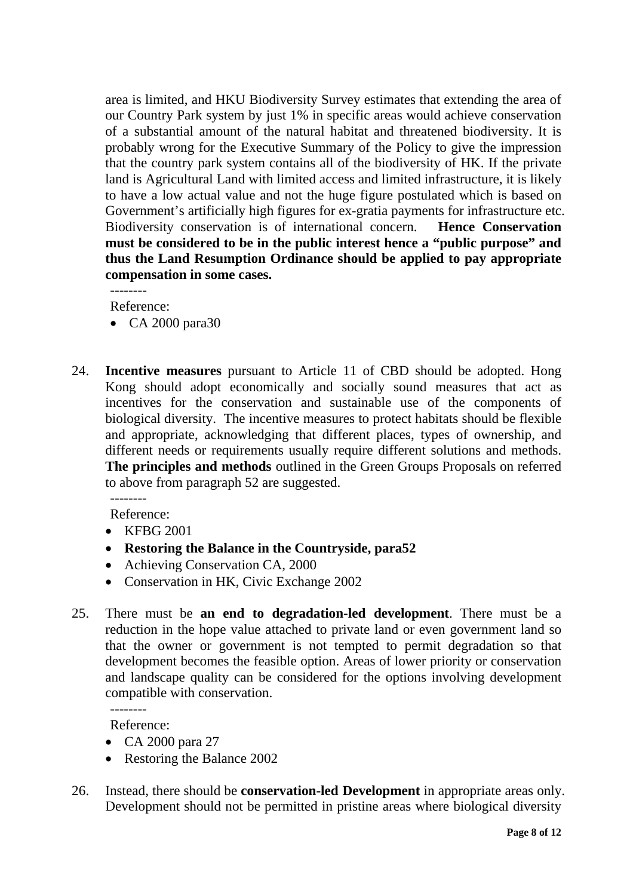area is limited, and HKU Biodiversity Survey estimates that extending the area of our Country Park system by just 1% in specific areas would achieve conservation of a substantial amount of the natural habitat and threatened biodiversity. It is probably wrong for the Executive Summary of the Policy to give the impression that the country park system contains all of the biodiversity of HK. If the private land is Agricultural Land with limited access and limited infrastructure, it is likely to have a low actual value and not the huge figure postulated which is based on Government's artificially high figures for ex-gratia payments for infrastructure etc. Biodiversity conservation is of international concern. **Hence Conservation must be considered to be in the public interest hence a "public purpose" and thus the Land Resumption Ordinance should be applied to pay appropriate compensation in some cases.**

--------

Reference:

- CA 2000 para30
- 24. **Incentive measures** pursuant to Article 11 of CBD should be adopted. Hong Kong should adopt economically and socially sound measures that act as incentives for the conservation and sustainable use of the components of biological diversity. The incentive measures to protect habitats should be flexible and appropriate, acknowledging that different places, types of ownership, and different needs or requirements usually require different solutions and methods. **The principles and methods** outlined in the Green Groups Proposals on referred to above from paragraph 52 are suggested. --------

Reference:

- KFBG 2001
- **Restoring the Balance in the Countryside, para52**
- Achieving Conservation CA, 2000
- Conservation in HK, Civic Exchange 2002
- 25. There must be **an end to degradation-led development**. There must be a reduction in the hope value attached to private land or even government land so that the owner or government is not tempted to permit degradation so that development becomes the feasible option. Areas of lower priority or conservation and landscape quality can be considered for the options involving development compatible with conservation.

Reference:

--------

- CA 2000 para 27
- Restoring the Balance 2002
- 26. Instead, there should be **conservation-led Development** in appropriate areas only. Development should not be permitted in pristine areas where biological diversity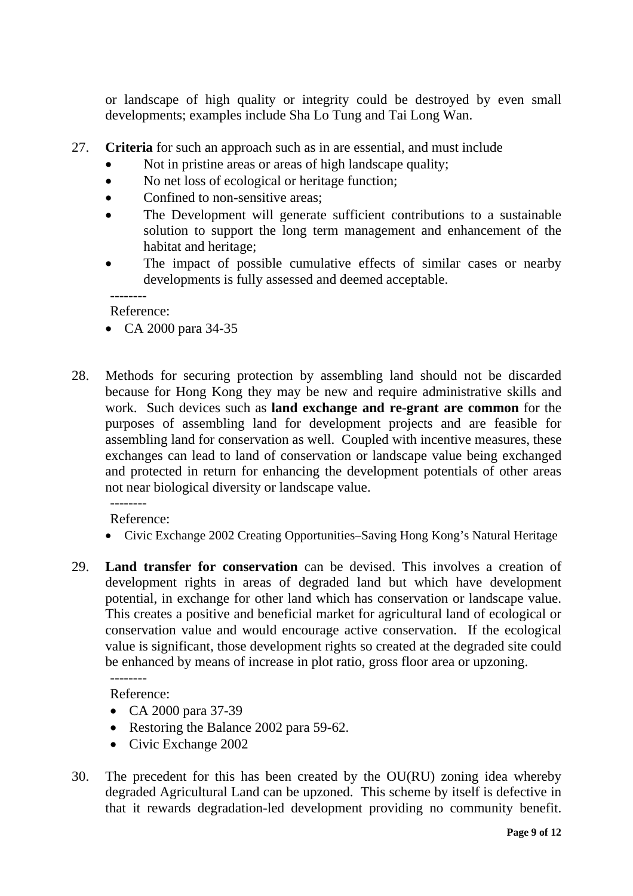or landscape of high quality or integrity could be destroyed by even small developments; examples include Sha Lo Tung and Tai Long Wan.

- 27. **Criteria** for such an approach such as in are essential, and must include
	- Not in pristine areas or areas of high landscape quality;
	- No net loss of ecological or heritage function;
	- Confined to non-sensitive areas;
	- The Development will generate sufficient contributions to a sustainable solution to support the long term management and enhancement of the habitat and heritage;
	- The impact of possible cumulative effects of similar cases or nearby developments is fully assessed and deemed acceptable.

-------- Reference:

- CA 2000 para 34-35
- 28. Methods for securing protection by assembling land should not be discarded because for Hong Kong they may be new and require administrative skills and work. Such devices such as **land exchange and re-grant are common** for the purposes of assembling land for development projects and are feasible for assembling land for conservation as well. Coupled with incentive measures, these exchanges can lead to land of conservation or landscape value being exchanged and protected in return for enhancing the development potentials of other areas not near biological diversity or landscape value.

Reference:

--------

- Civic Exchange 2002 Creating Opportunities–Saving Hong Kong's Natural Heritage
- 29. **Land transfer for conservation** can be devised. This involves a creation of development rights in areas of degraded land but which have development potential, in exchange for other land which has conservation or landscape value. This creates a positive and beneficial market for agricultural land of ecological or conservation value and would encourage active conservation. If the ecological value is significant, those development rights so created at the degraded site could be enhanced by means of increase in plot ratio, gross floor area or upzoning. --------

Reference:

- CA 2000 para 37-39
- Restoring the Balance 2002 para 59-62.
- Civic Exchange 2002
- 30. The precedent for this has been created by the OU(RU) zoning idea whereby degraded Agricultural Land can be upzoned. This scheme by itself is defective in that it rewards degradation-led development providing no community benefit.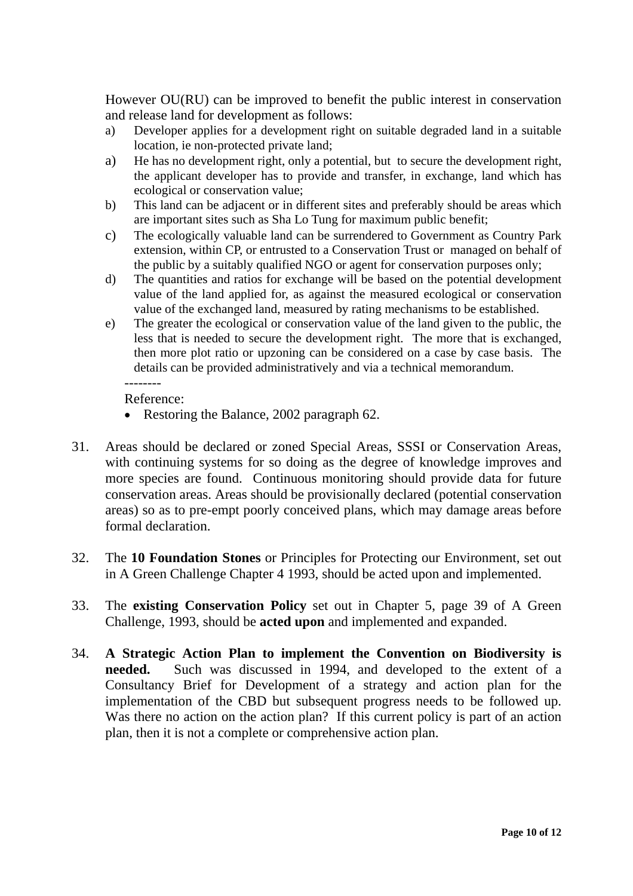However OU(RU) can be improved to benefit the public interest in conservation and release land for development as follows:

- a) Developer applies for a development right on suitable degraded land in a suitable location, ie non-protected private land;
- a) He has no development right, only a potential, but to secure the development right, the applicant developer has to provide and transfer, in exchange, land which has ecological or conservation value;
- b) This land can be adjacent or in different sites and preferably should be areas which are important sites such as Sha Lo Tung for maximum public benefit;
- c) The ecologically valuable land can be surrendered to Government as Country Park extension, within CP, or entrusted to a Conservation Trust or managed on behalf of the public by a suitably qualified NGO or agent for conservation purposes only;
- d) The quantities and ratios for exchange will be based on the potential development value of the land applied for, as against the measured ecological or conservation value of the exchanged land, measured by rating mechanisms to be established.
- e) The greater the ecological or conservation value of the land given to the public, the less that is needed to secure the development right. The more that is exchanged, then more plot ratio or upzoning can be considered on a case by case basis. The details can be provided administratively and via a technical memorandum. --------

Reference:

- Restoring the Balance, 2002 paragraph 62.
- 31. Areas should be declared or zoned Special Areas, SSSI or Conservation Areas, with continuing systems for so doing as the degree of knowledge improves and more species are found. Continuous monitoring should provide data for future conservation areas. Areas should be provisionally declared (potential conservation areas) so as to pre-empt poorly conceived plans, which may damage areas before formal declaration.
- 32. The **10 Foundation Stones** or Principles for Protecting our Environment, set out in A Green Challenge Chapter 4 1993, should be acted upon and implemented.
- 33. The **existing Conservation Policy** set out in Chapter 5, page 39 of A Green Challenge, 1993, should be **acted upon** and implemented and expanded.
- 34. **A Strategic Action Plan to implement the Convention on Biodiversity is needed.** Such was discussed in 1994, and developed to the extent of a Consultancy Brief for Development of a strategy and action plan for the implementation of the CBD but subsequent progress needs to be followed up. Was there no action on the action plan? If this current policy is part of an action plan, then it is not a complete or comprehensive action plan.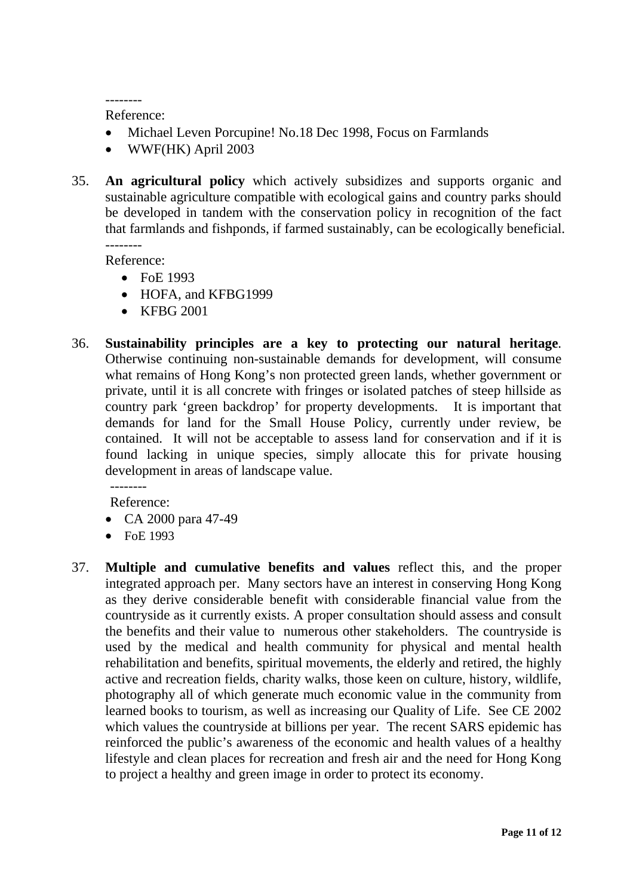-------- Reference:

- Michael Leven Porcupine! No.18 Dec 1998, Focus on Farmlands
- WWF(HK) April 2003
- 35. **An agricultural policy** which actively subsidizes and supports organic and sustainable agriculture compatible with ecological gains and country parks should be developed in tandem with the conservation policy in recognition of the fact that farmlands and fishponds, if farmed sustainably, can be ecologically beneficial. --------

Reference:

- FoE 1993
- HOFA, and KFBG1999
- KFBG 2001
- 36. **Sustainability principles are a key to protecting our natural heritage**. Otherwise continuing non-sustainable demands for development, will consume what remains of Hong Kong's non protected green lands, whether government or private, until it is all concrete with fringes or isolated patches of steep hillside as country park 'green backdrop' for property developments. It is important that demands for land for the Small House Policy, currently under review, be contained. It will not be acceptable to assess land for conservation and if it is found lacking in unique species, simply allocate this for private housing development in areas of landscape value.

Reference:

--------

- CA 2000 para 47-49
- FoE 1993
- 37. **Multiple and cumulative benefits and values** reflect this, and the proper integrated approach per. Many sectors have an interest in conserving Hong Kong as they derive considerable benefit with considerable financial value from the countryside as it currently exists. A proper consultation should assess and consult the benefits and their value to numerous other stakeholders. The countryside is used by the medical and health community for physical and mental health rehabilitation and benefits, spiritual movements, the elderly and retired, the highly active and recreation fields, charity walks, those keen on culture, history, wildlife, photography all of which generate much economic value in the community from learned books to tourism, as well as increasing our Quality of Life. See CE 2002 which values the countryside at billions per year. The recent SARS epidemic has reinforced the public's awareness of the economic and health values of a healthy lifestyle and clean places for recreation and fresh air and the need for Hong Kong to project a healthy and green image in order to protect its economy.